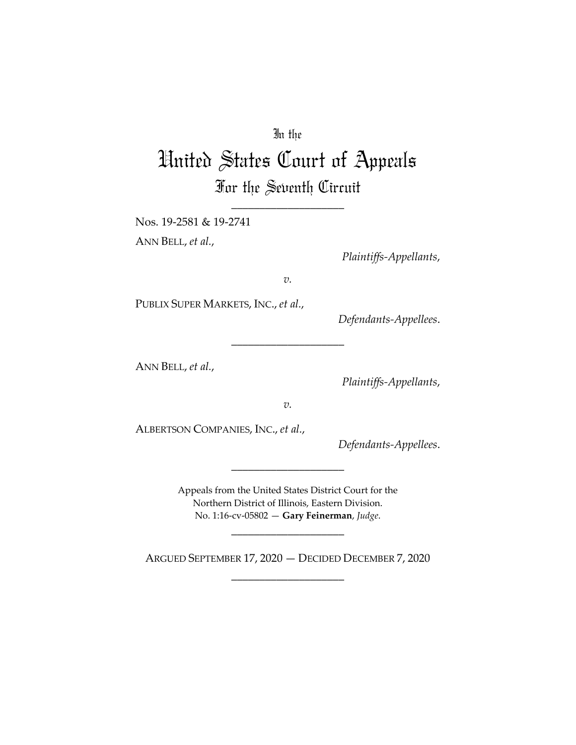# In the

# United States Court of Appeals For the Seventh Circuit

\_\_\_\_\_\_\_\_\_\_\_\_\_\_\_\_\_\_\_\_

Nos. 19-2581 & 19-2741 ANN BELL, *et al.*,

*Plaintiffs-Appellants*,

*v.*

\_\_\_\_\_\_\_\_\_\_\_\_\_\_\_\_\_\_\_\_

PUBLIX SUPER MARKETS, INC., *et al.*,

*Defendants-Appellees*.

ANN BELL, *et al.*,

*Plaintiffs-Appellants*,

*v.*

ALBERTSON COMPANIES, INC., *et al.*,

*Defendants-Appellees*.

Appeals from the United States District Court for the Northern District of Illinois, Eastern Division. No. 1:16-cv-05802 — **Gary Feinerman**, *Judge*.

\_\_\_\_\_\_\_\_\_\_\_\_\_\_\_\_\_\_\_\_

ARGUED SEPTEMBER 17, 2020 — DECIDED DECEMBER 7, 2020 \_\_\_\_\_\_\_\_\_\_\_\_\_\_\_\_\_\_\_\_

\_\_\_\_\_\_\_\_\_\_\_\_\_\_\_\_\_\_\_\_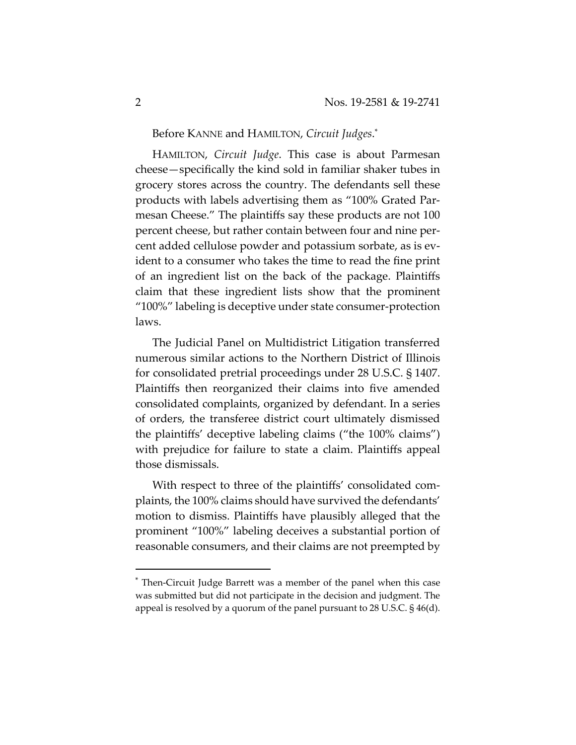Before KANNE and HAMILTON, *Circuit Judges*.\*

HAMILTON, *Circuit Judge*. This case is about Parmesan cheese—specifically the kind sold in familiar shaker tubes in grocery stores across the country. The defendants sell these products with labels advertising them as "100% Grated Parmesan Cheese." The plaintiffs say these products are not 100 percent cheese, but rather contain between four and nine percent added cellulose powder and potassium sorbate, as is evident to a consumer who takes the time to read the fine print of an ingredient list on the back of the package. Plaintiffs claim that these ingredient lists show that the prominent "100%" labeling is deceptive under state consumer-protection laws.

The Judicial Panel on Multidistrict Litigation transferred numerous similar actions to the Northern District of Illinois for consolidated pretrial proceedings under 28 U.S.C. § 1407. Plaintiffs then reorganized their claims into five amended consolidated complaints, organized by defendant. In a series of orders, the transferee district court ultimately dismissed the plaintiffs' deceptive labeling claims ("the 100% claims") with prejudice for failure to state a claim. Plaintiffs appeal those dismissals.

With respect to three of the plaintiffs' consolidated complaints, the 100% claims should have survived the defendants' motion to dismiss. Plaintiffs have plausibly alleged that the prominent "100%" labeling deceives a substantial portion of reasonable consumers, and their claims are not preempted by

<sup>\*</sup> Then-Circuit Judge Barrett was a member of the panel when this case was submitted but did not participate in the decision and judgment. The appeal is resolved by a quorum of the panel pursuant to 28 U.S.C. § 46(d).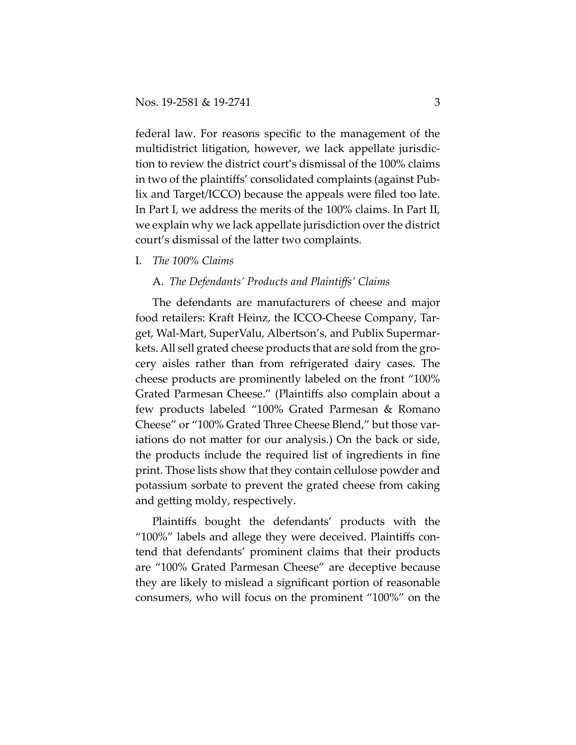federal law. For reasons specific to the management of the multidistrict litigation, however, we lack appellate jurisdiction to review the district court's dismissal of the 100% claims in two of the plaintiffs' consolidated complaints (against Publix and Target/ICCO) because the appeals were filed too late. In Part I, we address the merits of the 100% claims. In Part II, we explain why we lack appellate jurisdiction over the district court's dismissal of the latter two complaints.

I. *The 100% Claims* 

## A. *The Defendants' Products and Plaintiffs' Claims*

The defendants are manufacturers of cheese and major food retailers: Kraft Heinz, the ICCO-Cheese Company, Target, Wal-Mart, SuperValu, Albertson's, and Publix Supermarkets. All sell grated cheese products that are sold from the grocery aisles rather than from refrigerated dairy cases. The cheese products are prominently labeled on the front "100% Grated Parmesan Cheese." (Plaintiffs also complain about a few products labeled "100% Grated Parmesan & Romano Cheese" or "100% Grated Three Cheese Blend," but those variations do not matter for our analysis.) On the back or side, the products include the required list of ingredients in fine print. Those lists show that they contain cellulose powder and potassium sorbate to prevent the grated cheese from caking and getting moldy, respectively.

Plaintiffs bought the defendants' products with the "100%" labels and allege they were deceived. Plaintiffs contend that defendants' prominent claims that their products are "100% Grated Parmesan Cheese" are deceptive because they are likely to mislead a significant portion of reasonable consumers, who will focus on the prominent "100%" on the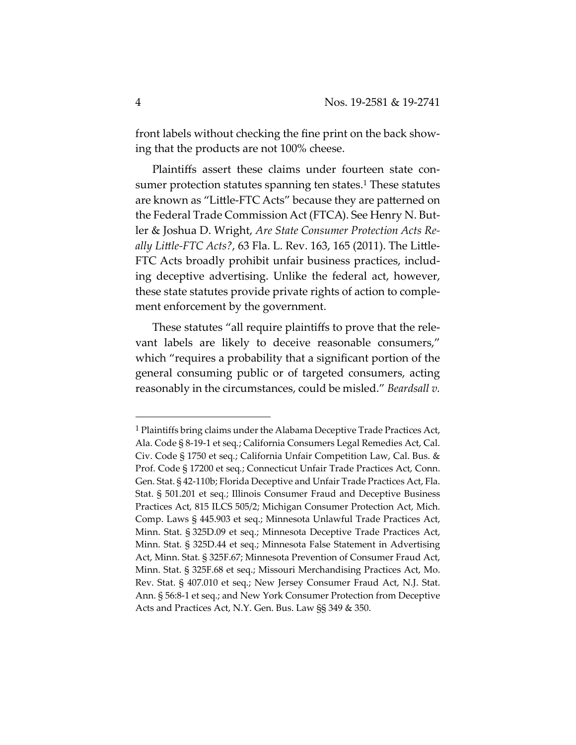front labels without checking the fine print on the back showing that the products are not 100% cheese.

Plaintiffs assert these claims under fourteen state consumer protection statutes spanning ten states.<sup>1</sup> These statutes are known as "Little-FTC Acts" because they are patterned on the Federal Trade Commission Act (FTCA). See Henry N. Butler & Joshua D. Wright, *Are State Consumer Protection Acts Really Little-FTC Acts?*, 63 Fla. L. Rev. 163, 165 (2011). The Little-FTC Acts broadly prohibit unfair business practices, including deceptive advertising. Unlike the federal act, however, these state statutes provide private rights of action to complement enforcement by the government.

These statutes "all require plaintiffs to prove that the relevant labels are likely to deceive reasonable consumers," which "requires a probability that a significant portion of the general consuming public or of targeted consumers, acting reasonably in the circumstances, could be misled." *Beardsall v.* 

<sup>&</sup>lt;sup>1</sup> Plaintiffs bring claims under the Alabama Deceptive Trade Practices Act, Ala. Code § 8-19-1 et seq*.*; California Consumers Legal Remedies Act, Cal. Civ. Code § 1750 et seq*.*; California Unfair Competition Law, Cal. Bus. & Prof. Code § 17200 et seq*.*; Connecticut Unfair Trade Practices Act, Conn. Gen. Stat. § 42-110b; Florida Deceptive and Unfair Trade Practices Act, Fla. Stat. § 501.201 et seq*.*; Illinois Consumer Fraud and Deceptive Business Practices Act, 815 ILCS 505/2; Michigan Consumer Protection Act, Mich. Comp. Laws § 445.903 et seq.; Minnesota Unlawful Trade Practices Act, Minn. Stat. § 325D.09 et seq.; Minnesota Deceptive Trade Practices Act, Minn. Stat. § 325D.44 et seq.; Minnesota False Statement in Advertising Act, Minn. Stat. § 325F.67; Minnesota Prevention of Consumer Fraud Act, Minn. Stat. § 325F.68 et seq.; Missouri Merchandising Practices Act, Mo. Rev. Stat. § 407.010 et seq.; New Jersey Consumer Fraud Act, N.J. Stat. Ann. § 56:8-1 et seq.; and New York Consumer Protection from Deceptive Acts and Practices Act, N.Y. Gen. Bus. Law §§ 349 & 350.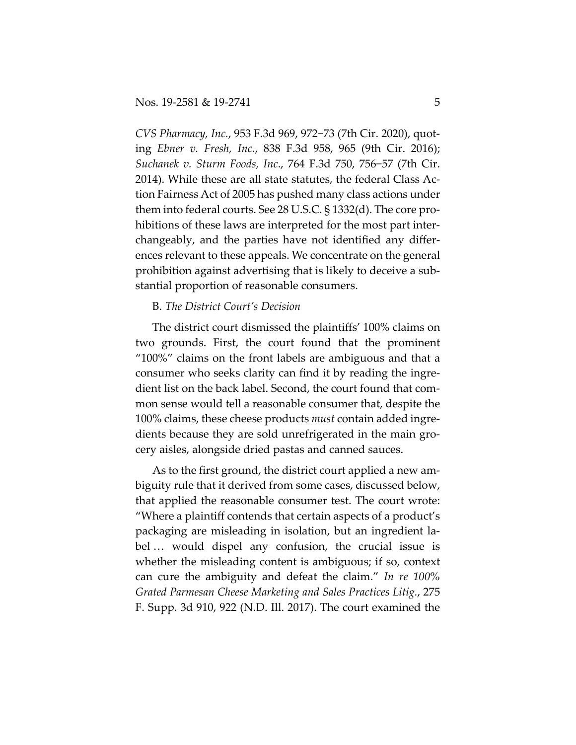*CVS Pharmacy, Inc.*, 953 F.3d 969, 972−73 (7th Cir. 2020), quoting *Ebner v. Fresh, Inc.*, 838 F.3d 958, 965 (9th Cir. 2016); *Suchanek v. Sturm Foods, Inc*., 764 F.3d 750, 756−57 (7th Cir. 2014). While these are all state statutes, the federal Class Action Fairness Act of 2005 has pushed many class actions under them into federal courts. See 28 U.S.C. § 1332(d). The core prohibitions of these laws are interpreted for the most part interchangeably, and the parties have not identified any differences relevant to these appeals. We concentrate on the general prohibition against advertising that is likely to deceive a substantial proportion of reasonable consumers.

## B. *The District Court's Decision*

The district court dismissed the plaintiffs' 100% claims on two grounds. First, the court found that the prominent "100%" claims on the front labels are ambiguous and that a consumer who seeks clarity can find it by reading the ingredient list on the back label. Second, the court found that common sense would tell a reasonable consumer that, despite the 100% claims, these cheese products *must* contain added ingredients because they are sold unrefrigerated in the main grocery aisles, alongside dried pastas and canned sauces.

As to the first ground, the district court applied a new ambiguity rule that it derived from some cases, discussed below, that applied the reasonable consumer test. The court wrote: "Where a plaintiff contends that certain aspects of a product's packaging are misleading in isolation, but an ingredient label … would dispel any confusion, the crucial issue is whether the misleading content is ambiguous; if so, context can cure the ambiguity and defeat the claim." *In re 100% Grated Parmesan Cheese Marketing and Sales Practices Litig.*, 275 F. Supp. 3d 910, 922 (N.D. Ill. 2017). The court examined the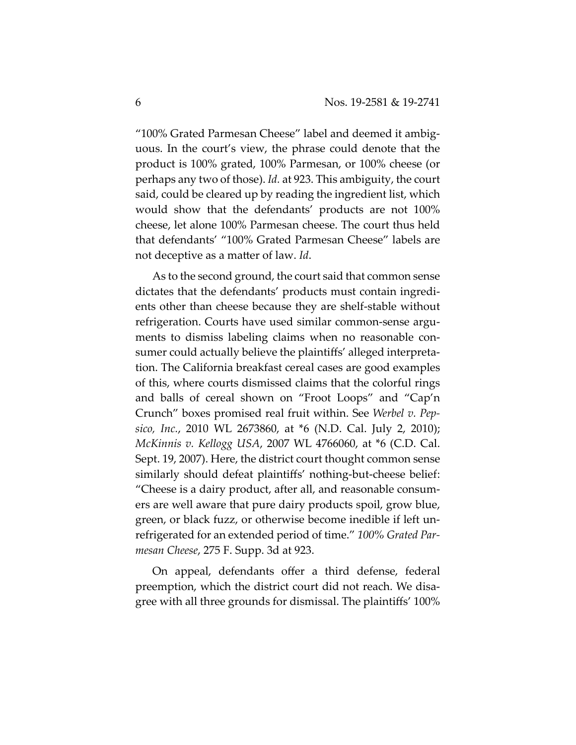"100% Grated Parmesan Cheese" label and deemed it ambiguous. In the court's view, the phrase could denote that the product is 100% grated, 100% Parmesan, or 100% cheese (or perhaps any two of those). *Id.* at 923. This ambiguity, the court said, could be cleared up by reading the ingredient list, which would show that the defendants' products are not 100% cheese, let alone 100% Parmesan cheese. The court thus held that defendants' "100% Grated Parmesan Cheese" labels are not deceptive as a matter of law. *Id*.

As to the second ground, the court said that common sense dictates that the defendants' products must contain ingredients other than cheese because they are shelf-stable without refrigeration. Courts have used similar common-sense arguments to dismiss labeling claims when no reasonable consumer could actually believe the plaintiffs' alleged interpretation. The California breakfast cereal cases are good examples of this, where courts dismissed claims that the colorful rings and balls of cereal shown on "Froot Loops" and "Cap'n Crunch" boxes promised real fruit within. See *Werbel v. Pepsico, Inc.*, 2010 WL 2673860, at \*6 (N.D. Cal. July 2, 2010); *McKinnis v. Kellogg USA*, 2007 WL 4766060, at \*6 (C.D. Cal. Sept. 19, 2007). Here, the district court thought common sense similarly should defeat plaintiffs' nothing-but-cheese belief: "Cheese is a dairy product, after all, and reasonable consumers are well aware that pure dairy products spoil, grow blue, green, or black fuzz, or otherwise become inedible if left unrefrigerated for an extended period of time." *100% Grated Parmesan Cheese*, 275 F. Supp. 3d at 923.

On appeal, defendants offer a third defense, federal preemption, which the district court did not reach. We disagree with all three grounds for dismissal. The plaintiffs' 100%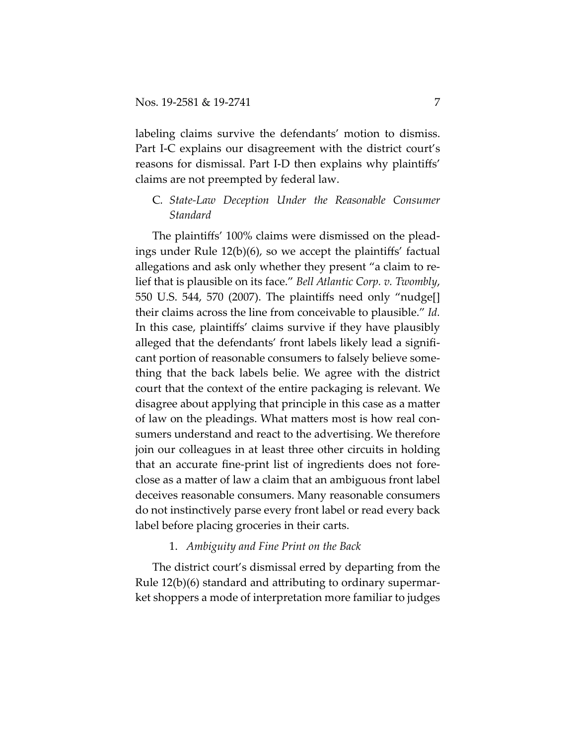labeling claims survive the defendants' motion to dismiss. Part I-C explains our disagreement with the district court's reasons for dismissal. Part I-D then explains why plaintiffs' claims are not preempted by federal law.

## C*. State-Law Deception Under the Reasonable Consumer Standard*

The plaintiffs' 100% claims were dismissed on the pleadings under Rule 12(b)(6), so we accept the plaintiffs' factual allegations and ask only whether they present "a claim to relief that is plausible on its face." *Bell Atlantic Corp. v. Twombly*, 550 U.S. 544, 570 (2007). The plaintiffs need only "nudge[] their claims across the line from conceivable to plausible." *Id.*  In this case, plaintiffs' claims survive if they have plausibly alleged that the defendants' front labels likely lead a significant portion of reasonable consumers to falsely believe something that the back labels belie. We agree with the district court that the context of the entire packaging is relevant. We disagree about applying that principle in this case as a matter of law on the pleadings. What matters most is how real consumers understand and react to the advertising. We therefore join our colleagues in at least three other circuits in holding that an accurate fine-print list of ingredients does not foreclose as a matter of law a claim that an ambiguous front label deceives reasonable consumers. Many reasonable consumers do not instinctively parse every front label or read every back label before placing groceries in their carts.

## 1. *Ambiguity and Fine Print on the Back*

The district court's dismissal erred by departing from the Rule 12(b)(6) standard and attributing to ordinary supermarket shoppers a mode of interpretation more familiar to judges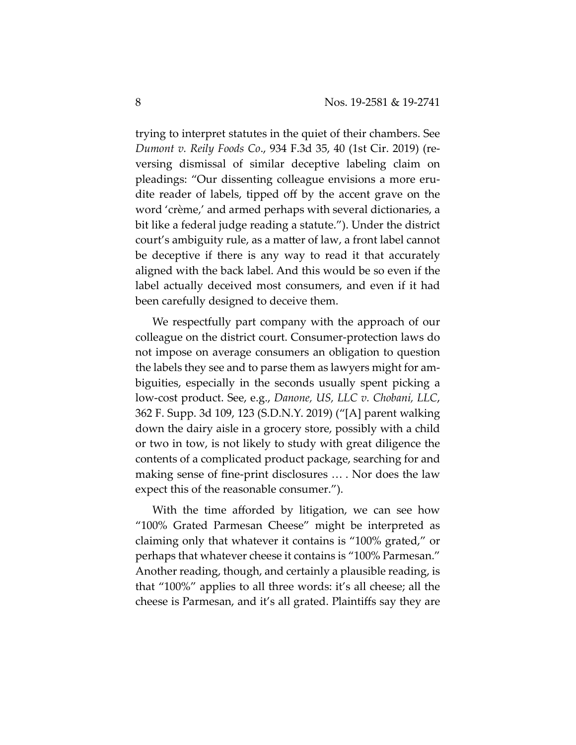trying to interpret statutes in the quiet of their chambers. See *Dumont v. Reily Foods Co*., 934 F.3d 35, 40 (1st Cir. 2019) (reversing dismissal of similar deceptive labeling claim on pleadings: "Our dissenting colleague envisions a more erudite reader of labels, tipped off by the accent grave on the word 'crème,' and armed perhaps with several dictionaries, a bit like a federal judge reading a statute."). Under the district court's ambiguity rule, as a matter of law, a front label cannot be deceptive if there is any way to read it that accurately aligned with the back label. And this would be so even if the label actually deceived most consumers, and even if it had been carefully designed to deceive them.

We respectfully part company with the approach of our colleague on the district court. Consumer-protection laws do not impose on average consumers an obligation to question the labels they see and to parse them as lawyers might for ambiguities, especially in the seconds usually spent picking a low-cost product. See, e.g., *Danone, US, LLC v. Chobani, LLC*, 362 F. Supp. 3d 109, 123 (S.D.N.Y. 2019) ("[A] parent walking down the dairy aisle in a grocery store, possibly with a child or two in tow, is not likely to study with great diligence the contents of a complicated product package, searching for and making sense of fine-print disclosures … . Nor does the law expect this of the reasonable consumer.").

With the time afforded by litigation, we can see how "100% Grated Parmesan Cheese" might be interpreted as claiming only that whatever it contains is "100% grated," or perhaps that whatever cheese it contains is "100% Parmesan." Another reading, though, and certainly a plausible reading, is that "100%" applies to all three words: it's all cheese; all the cheese is Parmesan, and it's all grated. Plaintiffs say they are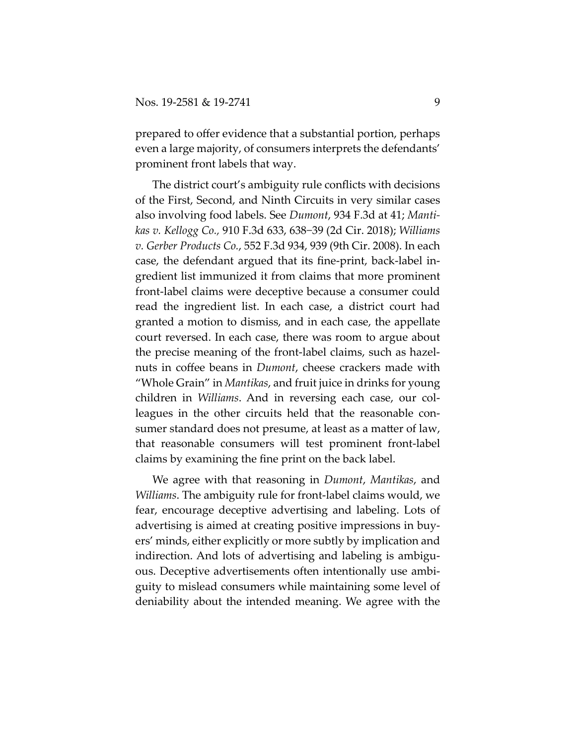prepared to offer evidence that a substantial portion, perhaps even a large majority, of consumers interprets the defendants' prominent front labels that way.

The district court's ambiguity rule conflicts with decisions of the First, Second, and Ninth Circuits in very similar cases also involving food labels. See *Dumont*, 934 F.3d at 41; *Mantikas v. Kellogg Co.,* 910 F.3d 633, 638−39 (2d Cir. 2018); *Williams v. Gerber Products Co.*, 552 F.3d 934, 939 (9th Cir. 2008). In each case, the defendant argued that its fine-print, back-label ingredient list immunized it from claims that more prominent front-label claims were deceptive because a consumer could read the ingredient list. In each case, a district court had granted a motion to dismiss, and in each case, the appellate court reversed. In each case, there was room to argue about the precise meaning of the front-label claims, such as hazelnuts in coffee beans in *Dumont*, cheese crackers made with "Whole Grain" in *Mantikas*, and fruit juice in drinks for young children in *Williams*. And in reversing each case, our colleagues in the other circuits held that the reasonable consumer standard does not presume, at least as a matter of law, that reasonable consumers will test prominent front-label claims by examining the fine print on the back label.

We agree with that reasoning in *Dumont*, *Mantikas*, and *Williams*. The ambiguity rule for front-label claims would, we fear, encourage deceptive advertising and labeling. Lots of advertising is aimed at creating positive impressions in buyers' minds, either explicitly or more subtly by implication and indirection. And lots of advertising and labeling is ambiguous. Deceptive advertisements often intentionally use ambiguity to mislead consumers while maintaining some level of deniability about the intended meaning. We agree with the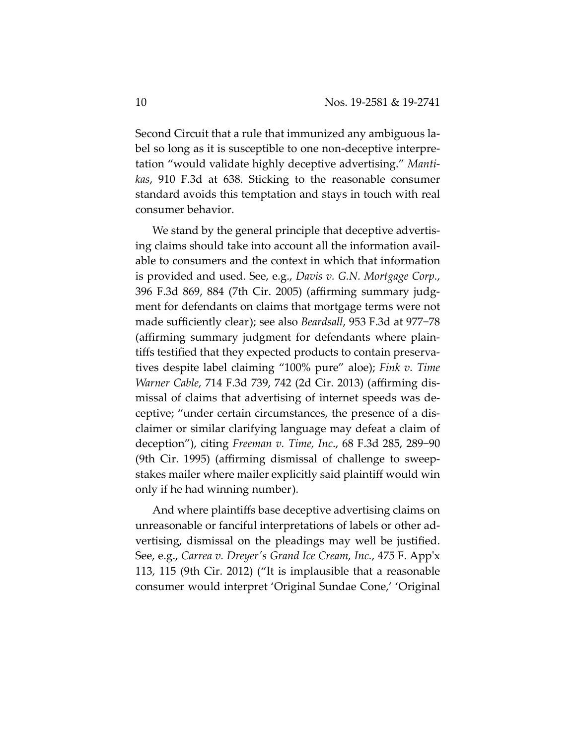Second Circuit that a rule that immunized any ambiguous label so long as it is susceptible to one non-deceptive interpretation "would validate highly deceptive advertising." *Mantikas*, 910 F.3d at 638. Sticking to the reasonable consumer standard avoids this temptation and stays in touch with real consumer behavior.

We stand by the general principle that deceptive advertising claims should take into account all the information available to consumers and the context in which that information is provided and used. See, e.g., *Davis v. G.N. Mortgage Corp.*, 396 F.3d 869, 884 (7th Cir. 2005) (affirming summary judgment for defendants on claims that mortgage terms were not made sufficiently clear); see also *Beardsall*, 953 F.3d at 977−78 (affirming summary judgment for defendants where plaintiffs testified that they expected products to contain preservatives despite label claiming "100% pure" aloe); *Fink v. Time Warner Cable*, 714 F.3d 739, 742 (2d Cir. 2013) (affirming dismissal of claims that advertising of internet speeds was deceptive; "under certain circumstances, the presence of a disclaimer or similar clarifying language may defeat a claim of deception"), citing *Freeman v. Time, Inc*., 68 F.3d 285, 289−90 (9th Cir. 1995) (affirming dismissal of challenge to sweepstakes mailer where mailer explicitly said plaintiff would win only if he had winning number).

And where plaintiffs base deceptive advertising claims on unreasonable or fanciful interpretations of labels or other advertising, dismissal on the pleadings may well be justified. See, e.g., *Carrea v. Dreyerʹs Grand Ice Cream, Inc.*, 475 F. Appʹx 113, 115 (9th Cir. 2012) ("It is implausible that a reasonable consumer would interpret 'Original Sundae Cone,' 'Original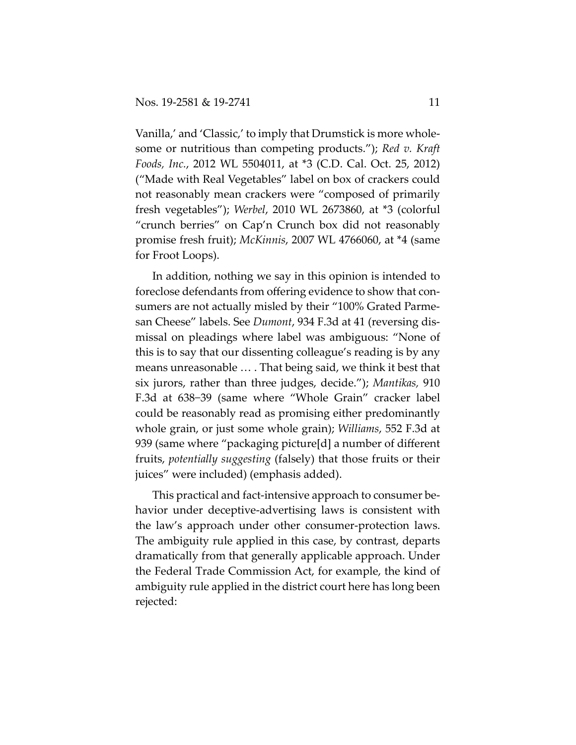Vanilla,' and 'Classic,' to imply that Drumstick is more wholesome or nutritious than competing products."); *Red v. Kraft Foods, Inc.*, 2012 WL 5504011, at \*3 (C.D. Cal. Oct. 25, 2012) ("Made with Real Vegetables" label on box of crackers could not reasonably mean crackers were "composed of primarily fresh vegetables"); *Werbel*, 2010 WL 2673860, at \*3 (colorful "crunch berries" on Cap'n Crunch box did not reasonably promise fresh fruit); *McKinnis*, 2007 WL 4766060, at \*4 (same for Froot Loops).

In addition, nothing we say in this opinion is intended to foreclose defendants from offering evidence to show that consumers are not actually misled by their "100% Grated Parmesan Cheese" labels. See *Dumont*, 934 F.3d at 41 (reversing dismissal on pleadings where label was ambiguous: "None of this is to say that our dissenting colleague's reading is by any means unreasonable … . That being said, we think it best that six jurors, rather than three judges, decide."); *Mantikas,* 910 F.3d at 638−39 (same where "Whole Grain" cracker label could be reasonably read as promising either predominantly whole grain, or just some whole grain); *Williams*, 552 F.3d at 939 (same where "packaging picture[d] a number of different fruits, *potentially suggesting* (falsely) that those fruits or their juices" were included) (emphasis added).

This practical and fact-intensive approach to consumer behavior under deceptive-advertising laws is consistent with the law's approach under other consumer-protection laws. The ambiguity rule applied in this case, by contrast, departs dramatically from that generally applicable approach. Under the Federal Trade Commission Act, for example, the kind of ambiguity rule applied in the district court here has long been rejected: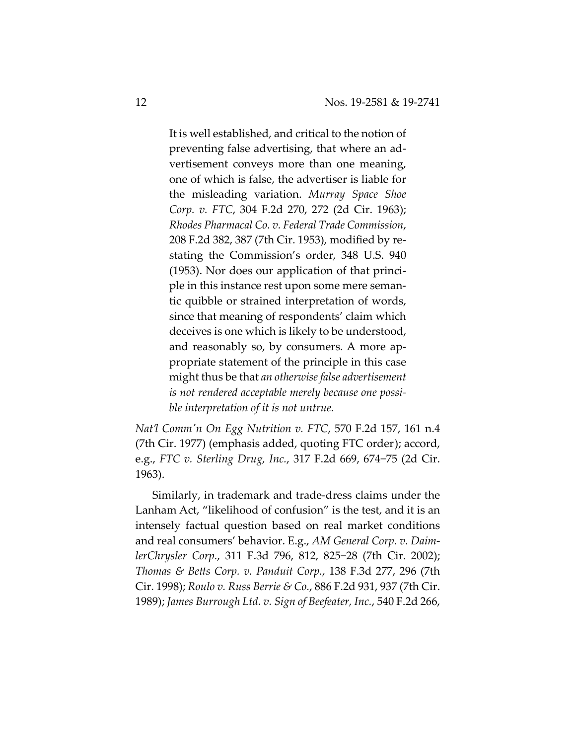It is well established, and critical to the notion of preventing false advertising, that where an advertisement conveys more than one meaning, one of which is false, the advertiser is liable for the misleading variation. *Murray Space Shoe Corp. v. FTC*, 304 F.2d 270, 272 (2d Cir. 1963); *Rhodes Pharmacal Co. v. Federal Trade Commission*, 208 F.2d 382, 387 (7th Cir. 1953), modified by restating the Commission's order, 348 U.S. 940 (1953). Nor does our application of that principle in this instance rest upon some mere semantic quibble or strained interpretation of words, since that meaning of respondents' claim which deceives is one which is likely to be understood, and reasonably so, by consumers. A more appropriate statement of the principle in this case might thus be that *an otherwise false advertisement is not rendered acceptable merely because one possible interpretation of it is not untrue.*

*Nat'l Commʹn On Egg Nutrition v. FTC*, 570 F.2d 157, 161 n.4 (7th Cir. 1977) (emphasis added, quoting FTC order); accord, e.g., *FTC v. Sterling Drug, Inc.*, 317 F.2d 669, 674−75 (2d Cir. 1963).

Similarly, in trademark and trade-dress claims under the Lanham Act, "likelihood of confusion" is the test, and it is an intensely factual question based on real market conditions and real consumers' behavior. E.g., *AM General Corp. v. DaimlerChrysler Corp.*, 311 F.3d 796, 812, 825−28 (7th Cir. 2002); *Thomas & Betts Corp. v. Panduit Corp.*, 138 F.3d 277, 296 (7th Cir. 1998); *Roulo v. Russ Berrie & Co.*, 886 F.2d 931, 937 (7th Cir. 1989); *James Burrough Ltd. v. Sign of Beefeater, Inc.*, 540 F.2d 266,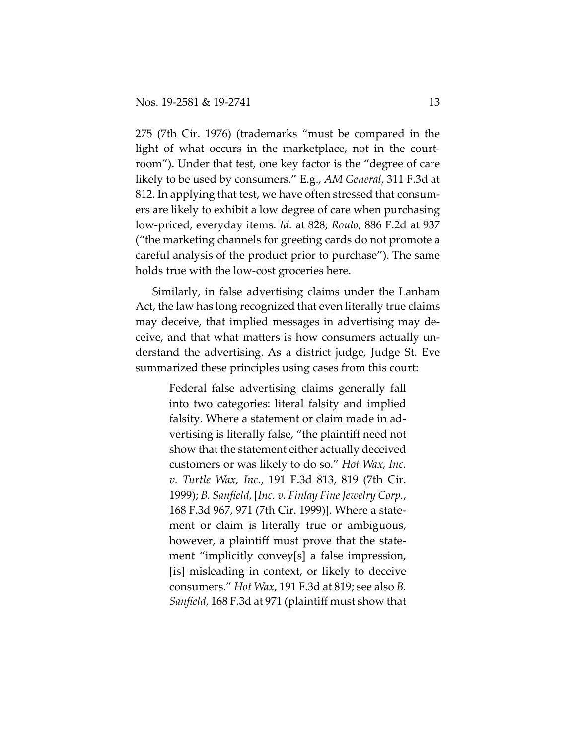275 (7th Cir. 1976) (trademarks "must be compared in the light of what occurs in the marketplace, not in the courtroom"). Under that test, one key factor is the "degree of care likely to be used by consumers." E.g., *AM General*, 311 F.3d at 812. In applying that test, we have often stressed that consumers are likely to exhibit a low degree of care when purchasing low-priced, everyday items. *Id.* at 828; *Roulo*, 886 F.2d at 937 ("the marketing channels for greeting cards do not promote a careful analysis of the product prior to purchase"). The same holds true with the low-cost groceries here.

Similarly, in false advertising claims under the Lanham Act, the law has long recognized that even literally true claims may deceive, that implied messages in advertising may deceive, and that what matters is how consumers actually understand the advertising. As a district judge, Judge St. Eve summarized these principles using cases from this court:

> Federal false advertising claims generally fall into two categories: literal falsity and implied falsity. Where a statement or claim made in advertising is literally false, "the plaintiff need not show that the statement either actually deceived customers or was likely to do so." *Hot Wax, Inc. v. Turtle Wax, Inc.*, 191 F.3d 813, 819 (7th Cir. 1999); *B. Sanfield*, [*Inc. v. Finlay Fine Jewelry Corp.*, 168 F.3d 967, 971 (7th Cir. 1999)]. Where a statement or claim is literally true or ambiguous, however, a plaintiff must prove that the statement "implicitly convey[s] a false impression, [is] misleading in context, or likely to deceive consumers." *Hot Wax*, 191 F.3d at 819; see also *B. Sanfield*, 168 F.3d at 971 (plaintiff must show that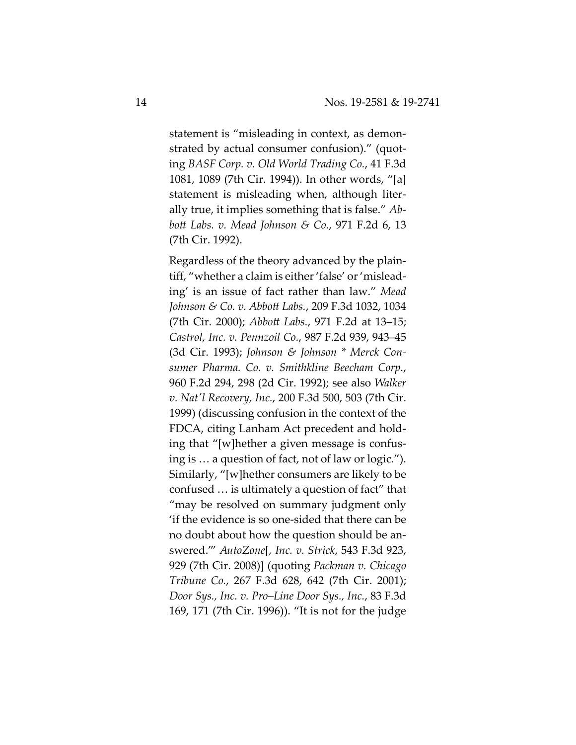statement is "misleading in context, as demonstrated by actual consumer confusion)." (quoting *BASF Corp. v. Old World Trading Co.*, 41 F.3d 1081, 1089 (7th Cir. 1994)). In other words, "[a] statement is misleading when, although literally true, it implies something that is false." *Abbott Labs. v. Mead Johnson & Co.*, 971 F.2d 6, 13 (7th Cir. 1992).

Regardless of the theory advanced by the plaintiff, "whether a claim is either 'false' or 'misleading' is an issue of fact rather than law." *Mead Johnson & Co. v. Abbott Labs.*, 209 F.3d 1032, 1034 (7th Cir. 2000); *Abbott Labs.*, 971 F.2d at 13–15; *Castrol, Inc. v. Pennzoil Co.*, 987 F.2d 939, 943–45 (3d Cir. 1993); *Johnson & Johnson \* Merck Consumer Pharma. Co. v. Smithkline Beecham Corp.*, 960 F.2d 294, 298 (2d Cir. 1992); see also *Walker v. Natʹl Recovery, Inc.*, 200 F.3d 500, 503 (7th Cir. 1999) (discussing confusion in the context of the FDCA, citing Lanham Act precedent and holding that "[w]hether a given message is confusing is … a question of fact, not of law or logic."). Similarly, "[w]hether consumers are likely to be confused … is ultimately a question of fact" that "may be resolved on summary judgment only 'if the evidence is so one-sided that there can be no doubt about how the question should be answered.'" *AutoZone*[*, Inc. v. Strick*, 543 F.3d 923, 929 (7th Cir. 2008)] (quoting *Packman v. Chicago Tribune Co.*, 267 F.3d 628, 642 (7th Cir. 2001); *Door Sys., Inc. v. Pro–Line Door Sys., Inc.*, 83 F.3d 169, 171 (7th Cir. 1996)). "It is not for the judge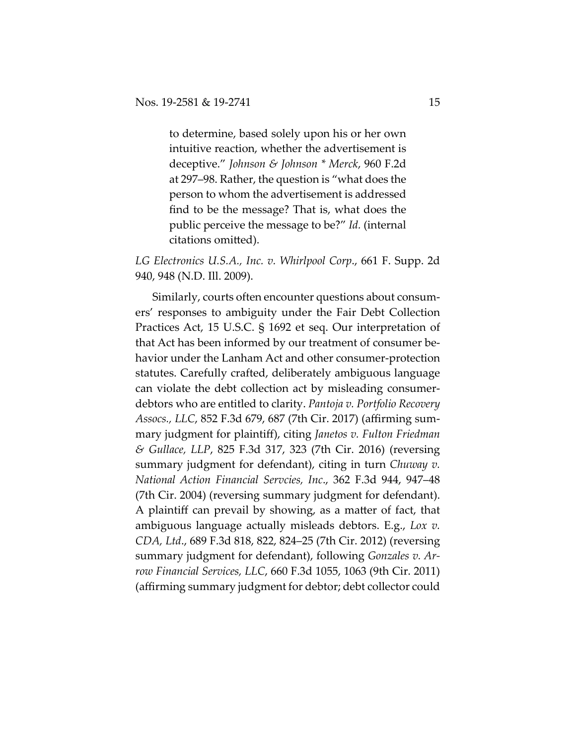to determine, based solely upon his or her own intuitive reaction, whether the advertisement is deceptive." *Johnson & Johnson \* Merck*, 960 F.2d at 297–98. Rather, the question is "what does the person to whom the advertisement is addressed find to be the message? That is, what does the public perceive the message to be?" *Id.* (internal citations omitted).

*LG Electronics U.S.A., Inc. v. Whirlpool Corp*., 661 F. Supp. 2d 940, 948 (N.D. Ill. 2009).

Similarly, courts often encounter questions about consumers' responses to ambiguity under the Fair Debt Collection Practices Act, 15 U.S.C. § 1692 et seq. Our interpretation of that Act has been informed by our treatment of consumer behavior under the Lanham Act and other consumer-protection statutes. Carefully crafted, deliberately ambiguous language can violate the debt collection act by misleading consumerdebtors who are entitled to clarity. *Pantoja v. Portfolio Recovery Assocs., LLC*, 852 F.3d 679, 687 (7th Cir. 2017) (affirming summary judgment for plaintiff), citing *Janetos v. Fulton Friedman & Gullace, LLP*, 825 F.3d 317, 323 (7th Cir. 2016) (reversing summary judgment for defendant), citing in turn *Chuway v. National Action Financial Servcies, Inc*., 362 F.3d 944, 947–48 (7th Cir. 2004) (reversing summary judgment for defendant). A plaintiff can prevail by showing, as a matter of fact, that ambiguous language actually misleads debtors. E.g., *Lox v. CDA, Ltd*., 689 F.3d 818, 822, 824–25 (7th Cir. 2012) (reversing summary judgment for defendant), following *Gonzales v. Arrow Financial Services, LLC*, 660 F.3d 1055, 1063 (9th Cir. 2011) (affirming summary judgment for debtor; debt collector could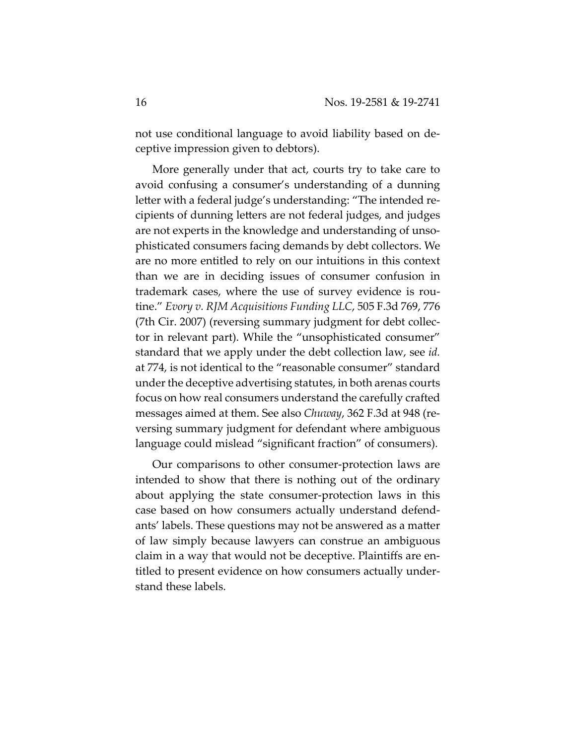not use conditional language to avoid liability based on deceptive impression given to debtors).

More generally under that act, courts try to take care to avoid confusing a consumer's understanding of a dunning letter with a federal judge's understanding: "The intended recipients of dunning letters are not federal judges, and judges are not experts in the knowledge and understanding of unsophisticated consumers facing demands by debt collectors. We are no more entitled to rely on our intuitions in this context than we are in deciding issues of consumer confusion in trademark cases, where the use of survey evidence is routine." *Evory v. RJM Acquisitions Funding LLC*, 505 F.3d 769, 776 (7th Cir. 2007) (reversing summary judgment for debt collector in relevant part). While the "unsophisticated consumer" standard that we apply under the debt collection law, see *id.* at 774, is not identical to the "reasonable consumer" standard under the deceptive advertising statutes, in both arenas courts focus on how real consumers understand the carefully crafted messages aimed at them. See also *Chuway*, 362 F.3d at 948 (reversing summary judgment for defendant where ambiguous language could mislead "significant fraction" of consumers).

Our comparisons to other consumer-protection laws are intended to show that there is nothing out of the ordinary about applying the state consumer-protection laws in this case based on how consumers actually understand defendants' labels. These questions may not be answered as a matter of law simply because lawyers can construe an ambiguous claim in a way that would not be deceptive. Plaintiffs are entitled to present evidence on how consumers actually understand these labels.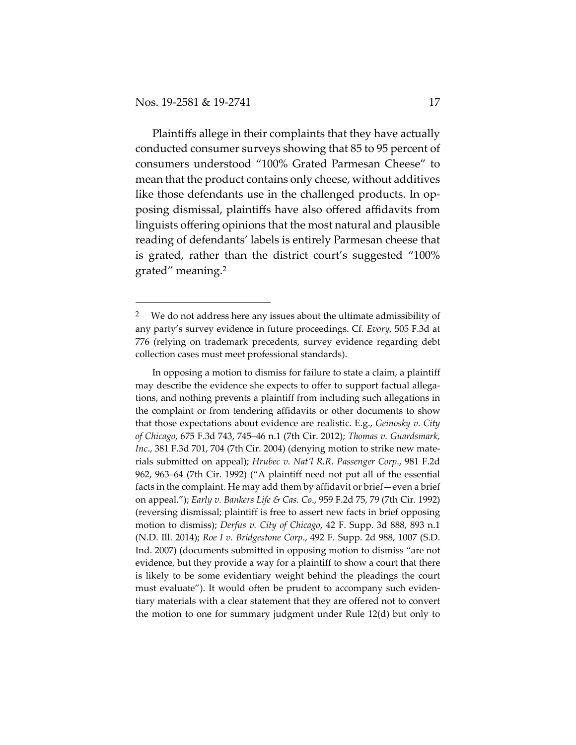Plaintiffs allege in their complaints that they have actually conducted consumer surveys showing that 85 to 95 percent of consumers understood "100% Grated Parmesan Cheese" to mean that the product contains only cheese, without additives like those defendants use in the challenged products. In opposing dismissal, plaintiffs have also offered affidavits from linguists offering opinions that the most natural and plausible reading of defendants' labels is entirely Parmesan cheese that is grated, rather than the district court's suggested "100% grated" meaning.2

We do not address here any issues about the ultimate admissibility of any party's survey evidence in future proceedings. Cf. *Evory*, 505 F.3d at 776 (relying on trademark precedents, survey evidence regarding debt collection cases must meet professional standards).

In opposing a motion to dismiss for failure to state a claim, a plaintiff may describe the evidence she expects to offer to support factual allegations, and nothing prevents a plaintiff from including such allegations in the complaint or from tendering affidavits or other documents to show that those expectations about evidence are realistic. E.g., *Geinosky v. City of Chicago*, 675 F.3d 743, 745–46 n.1 (7th Cir. 2012); *Thomas v. Guardsmark, Inc*., 381 F.3d 701, 704 (7th Cir. 2004) (denying motion to strike new materials submitted on appeal); *Hrubec v. Nat'l R.R. Passenger Corp*., 981 F.2d 962, 963–64 (7th Cir. 1992) ("A plaintiff need not put all of the essential facts in the complaint. He may add them by affidavit or brief—even a brief on appeal."); *Early v. Bankers Life & Cas. Co*., 959 F.2d 75, 79 (7th Cir. 1992) (reversing dismissal; plaintiff is free to assert new facts in brief opposing motion to dismiss); *Derfus v. City of Chicago*, 42 F. Supp. 3d 888, 893 n.1 (N.D. Ill. 2014); *Roe I v. Bridgestone Corp*., 492 F. Supp. 2d 988, 1007 (S.D. Ind. 2007) (documents submitted in opposing motion to dismiss "are not evidence, but they provide a way for a plaintiff to show a court that there is likely to be some evidentiary weight behind the pleadings the court must evaluate"). It would often be prudent to accompany such evidentiary materials with a clear statement that they are offered not to convert the motion to one for summary judgment under Rule 12(d) but only to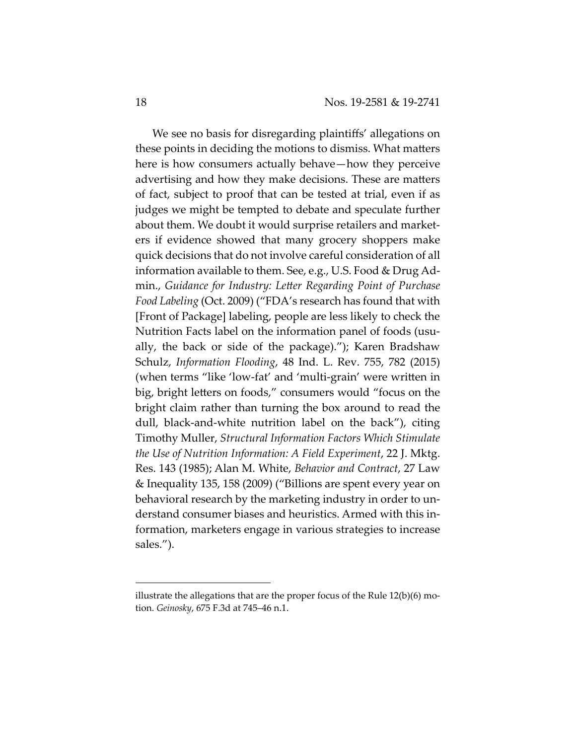We see no basis for disregarding plaintiffs' allegations on these points in deciding the motions to dismiss. What matters here is how consumers actually behave—how they perceive advertising and how they make decisions. These are matters of fact, subject to proof that can be tested at trial, even if as judges we might be tempted to debate and speculate further about them. We doubt it would surprise retailers and marketers if evidence showed that many grocery shoppers make quick decisions that do not involve careful consideration of all information available to them. See, e.g., U.S. Food & Drug Admin., *Guidance for Industry: Letter Regarding Point of Purchase Food Labeling* (Oct. 2009) ("FDA's research has found that with [Front of Package] labeling, people are less likely to check the Nutrition Facts label on the information panel of foods (usually, the back or side of the package)."); Karen Bradshaw Schulz, *Information Flooding*, 48 Ind. L. Rev. 755, 782 (2015) (when terms "like 'low-fat' and 'multi-grain' were written in big, bright letters on foods," consumers would "focus on the bright claim rather than turning the box around to read the dull, black-and-white nutrition label on the back"), citing Timothy Muller, *Structural Information Factors Which Stimulate the Use of Nutrition Information: A Field Experiment*, 22 J. Mktg. Res. 143 (1985); Alan M. White, *Behavior and Contract*, 27 Law & Inequality 135, 158 (2009) ("Billions are spent every year on behavioral research by the marketing industry in order to understand consumer biases and heuristics. Armed with this information, marketers engage in various strategies to increase sales.").

illustrate the allegations that are the proper focus of the Rule 12(b)(6) motion. *Geinosky*, 675 F.3d at 745–46 n.1.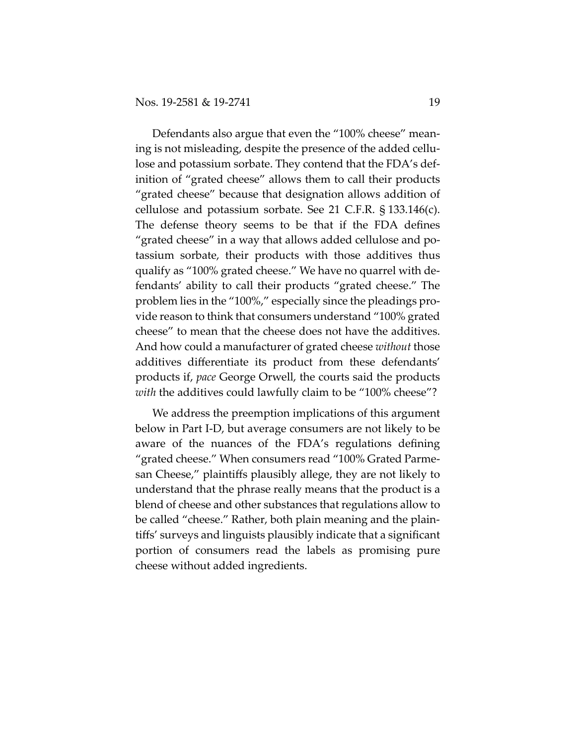Defendants also argue that even the "100% cheese" meaning is not misleading, despite the presence of the added cellulose and potassium sorbate. They contend that the FDA's definition of "grated cheese" allows them to call their products "grated cheese" because that designation allows addition of cellulose and potassium sorbate. See 21 C.F.R. § 133.146(c). The defense theory seems to be that if the FDA defines "grated cheese" in a way that allows added cellulose and potassium sorbate, their products with those additives thus qualify as "100% grated cheese." We have no quarrel with defendants' ability to call their products "grated cheese." The problem lies in the "100%," especially since the pleadings provide reason to think that consumers understand "100% grated cheese" to mean that the cheese does not have the additives. And how could a manufacturer of grated cheese *without* those additives differentiate its product from these defendants' products if, *pace* George Orwell, the courts said the products *with* the additives could lawfully claim to be "100% cheese"?

We address the preemption implications of this argument below in Part I-D, but average consumers are not likely to be aware of the nuances of the FDA's regulations defining "grated cheese." When consumers read "100% Grated Parmesan Cheese," plaintiffs plausibly allege, they are not likely to understand that the phrase really means that the product is a blend of cheese and other substances that regulations allow to be called "cheese." Rather, both plain meaning and the plaintiffs' surveys and linguists plausibly indicate that a significant portion of consumers read the labels as promising pure cheese without added ingredients.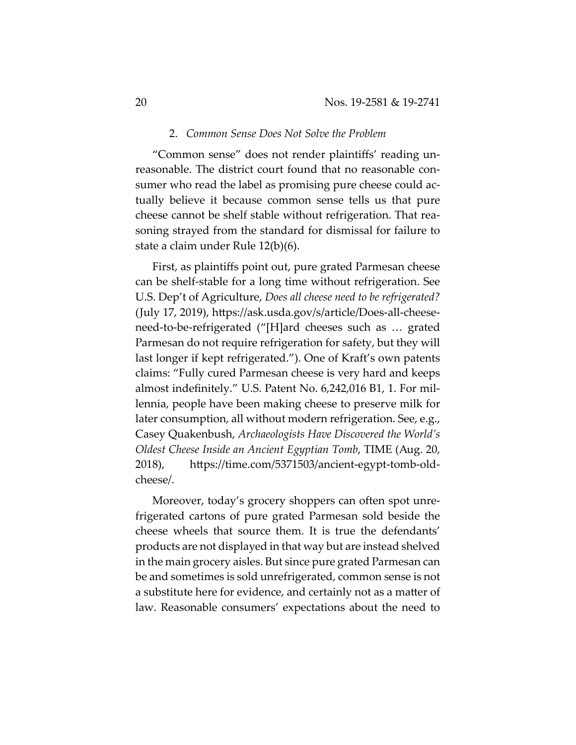#### 2. *Common Sense Does Not Solve the Problem*

"Common sense" does not render plaintiffs' reading unreasonable. The district court found that no reasonable consumer who read the label as promising pure cheese could actually believe it because common sense tells us that pure cheese cannot be shelf stable without refrigeration. That reasoning strayed from the standard for dismissal for failure to state a claim under Rule 12(b)(6).

First, as plaintiffs point out, pure grated Parmesan cheese can be shelf-stable for a long time without refrigeration. See U.S. Dep't of Agriculture, *Does all cheese need to be refrigerated?* (July 17, 2019), https://ask.usda.gov/s/article/Does-all-cheeseneed-to-be-refrigerated ("[H]ard cheeses such as … grated Parmesan do not require refrigeration for safety, but they will last longer if kept refrigerated."). One of Kraft's own patents claims: "Fully cured Parmesan cheese is very hard and keeps almost indefinitely." U.S. Patent No. 6,242,016 B1, 1. For millennia, people have been making cheese to preserve milk for later consumption, all without modern refrigeration. See, e.g., Casey Quakenbush, *Archaeologists Have Discovered the World's Oldest Cheese Inside an Ancient Egyptian Tomb*, TIME (Aug. 20, 2018), https://time.com/5371503/ancient-egypt-tomb-oldcheese/.

Moreover, today's grocery shoppers can often spot unrefrigerated cartons of pure grated Parmesan sold beside the cheese wheels that source them. It is true the defendants' products are not displayed in that way but are instead shelved in the main grocery aisles. But since pure grated Parmesan can be and sometimes is sold unrefrigerated, common sense is not a substitute here for evidence, and certainly not as a matter of law. Reasonable consumers' expectations about the need to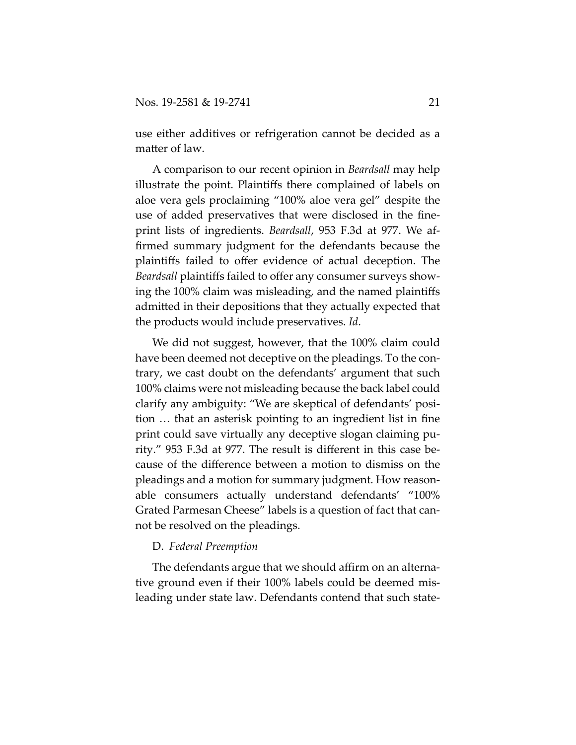use either additives or refrigeration cannot be decided as a matter of law.

A comparison to our recent opinion in *Beardsall* may help illustrate the point. Plaintiffs there complained of labels on aloe vera gels proclaiming "100% aloe vera gel" despite the use of added preservatives that were disclosed in the fineprint lists of ingredients. *Beardsall*, 953 F.3d at 977. We affirmed summary judgment for the defendants because the plaintiffs failed to offer evidence of actual deception. The *Beardsall* plaintiffs failed to offer any consumer surveys showing the 100% claim was misleading, and the named plaintiffs admitted in their depositions that they actually expected that the products would include preservatives. *Id*.

We did not suggest, however, that the 100% claim could have been deemed not deceptive on the pleadings. To the contrary, we cast doubt on the defendants' argument that such 100% claims were not misleading because the back label could clarify any ambiguity: "We are skeptical of defendants' position … that an asterisk pointing to an ingredient list in fine print could save virtually any deceptive slogan claiming purity." 953 F.3d at 977. The result is different in this case because of the difference between a motion to dismiss on the pleadings and a motion for summary judgment. How reasonable consumers actually understand defendants' "100% Grated Parmesan Cheese" labels is a question of fact that cannot be resolved on the pleadings.

## D. *Federal Preemption*

The defendants argue that we should affirm on an alternative ground even if their 100% labels could be deemed misleading under state law. Defendants contend that such state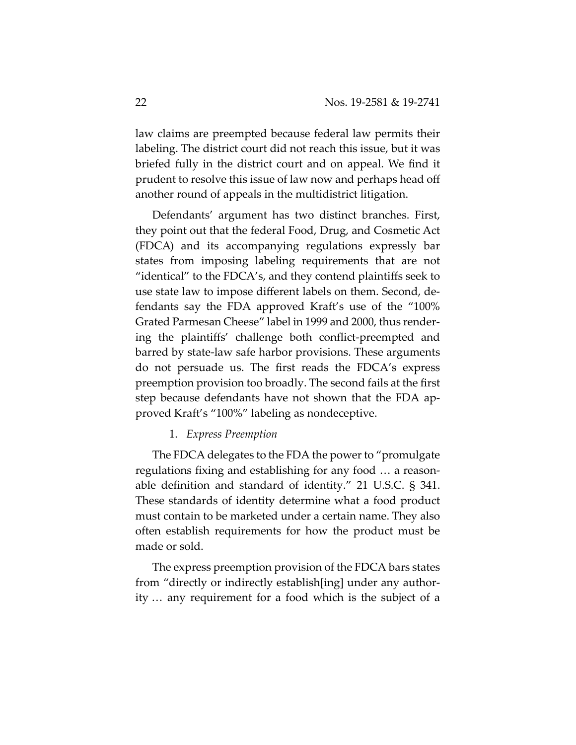law claims are preempted because federal law permits their labeling. The district court did not reach this issue, but it was briefed fully in the district court and on appeal. We find it prudent to resolve this issue of law now and perhaps head off another round of appeals in the multidistrict litigation.

Defendants' argument has two distinct branches. First, they point out that the federal Food, Drug, and Cosmetic Act (FDCA) and its accompanying regulations expressly bar states from imposing labeling requirements that are not "identical" to the FDCA's, and they contend plaintiffs seek to use state law to impose different labels on them. Second, defendants say the FDA approved Kraft's use of the "100% Grated Parmesan Cheese" label in 1999 and 2000, thus rendering the plaintiffs' challenge both conflict-preempted and barred by state-law safe harbor provisions. These arguments do not persuade us. The first reads the FDCA's express preemption provision too broadly. The second fails at the first step because defendants have not shown that the FDA approved Kraft's "100%" labeling as nondeceptive.

## 1. *Express Preemption*

The FDCA delegates to the FDA the power to "promulgate regulations fixing and establishing for any food … a reasonable definition and standard of identity." 21 U.S.C. § 341. These standards of identity determine what a food product must contain to be marketed under a certain name. They also often establish requirements for how the product must be made or sold.

The express preemption provision of the FDCA bars states from "directly or indirectly establish[ing] under any authority … any requirement for a food which is the subject of a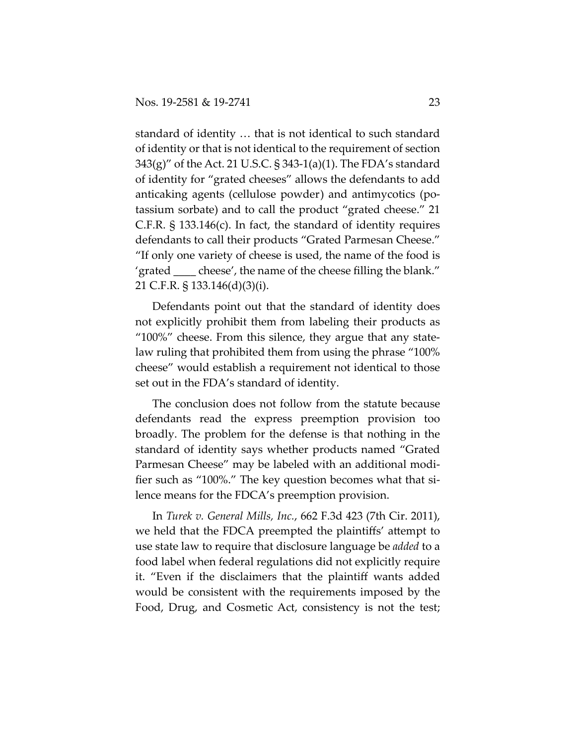standard of identity … that is not identical to such standard of identity or that is not identical to the requirement of section 343(g)" of the Act. 21 U.S.C. § 343-1(a)(1). The FDA's standard of identity for "grated cheeses" allows the defendants to add anticaking agents (cellulose powder) and antimycotics (potassium sorbate) and to call the product "grated cheese." 21 C.F.R. § 133.146(c). In fact, the standard of identity requires defendants to call their products "Grated Parmesan Cheese." "If only one variety of cheese is used, the name of the food is 'grated \_\_\_\_ cheese', the name of the cheese filling the blank." 21 C.F.R. § 133.146(d)(3)(i).

Defendants point out that the standard of identity does not explicitly prohibit them from labeling their products as "100%" cheese. From this silence, they argue that any statelaw ruling that prohibited them from using the phrase "100% cheese" would establish a requirement not identical to those set out in the FDA's standard of identity.

The conclusion does not follow from the statute because defendants read the express preemption provision too broadly. The problem for the defense is that nothing in the standard of identity says whether products named "Grated Parmesan Cheese" may be labeled with an additional modifier such as "100%." The key question becomes what that silence means for the FDCA's preemption provision.

In *Turek v. General Mills, Inc.*, 662 F.3d 423 (7th Cir. 2011), we held that the FDCA preempted the plaintiffs' attempt to use state law to require that disclosure language be *added* to a food label when federal regulations did not explicitly require it. "Even if the disclaimers that the plaintiff wants added would be consistent with the requirements imposed by the Food, Drug, and Cosmetic Act, consistency is not the test;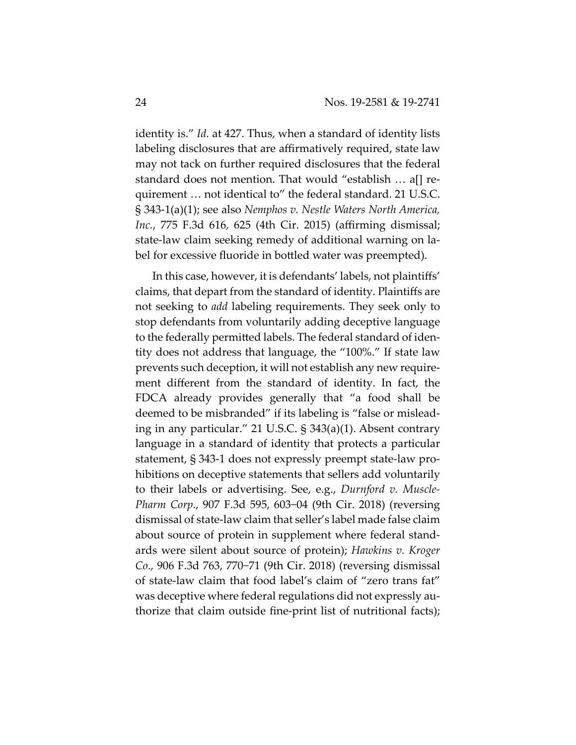identity is." *Id.* at 427. Thus, when a standard of identity lists labeling disclosures that are affirmatively required, state law may not tack on further required disclosures that the federal standard does not mention. That would "establish … a[] requirement … not identical to" the federal standard. 21 U.S.C. § 343-1(a)(1); see also *Nemphos v. Nestle Waters North America, Inc.*, 775 F.3d 616, 625 (4th Cir. 2015) (affirming dismissal; state-law claim seeking remedy of additional warning on label for excessive fluoride in bottled water was preempted).

In this case, however, it is defendants' labels, not plaintiffs' claims, that depart from the standard of identity. Plaintiffs are not seeking to *add* labeling requirements. They seek only to stop defendants from voluntarily adding deceptive language to the federally permitted labels. The federal standard of identity does not address that language, the "100%." If state law prevents such deception, it will not establish any new requirement different from the standard of identity. In fact, the FDCA already provides generally that "a food shall be deemed to be misbranded" if its labeling is "false or misleading in any particular." 21 U.S.C. § 343(a)(1). Absent contrary language in a standard of identity that protects a particular statement, § 343-1 does not expressly preempt state-law prohibitions on deceptive statements that sellers add voluntarily to their labels or advertising. See, e.g., *Durnford v. Muscle-Pharm Corp*., 907 F.3d 595, 603−04 (9th Cir. 2018) (reversing dismissal of state-law claim that seller's label made false claim about source of protein in supplement where federal standards were silent about source of protein); *Hawkins v. Kroger Co*., 906 F.3d 763, 770−71 (9th Cir. 2018) (reversing dismissal of state-law claim that food label's claim of "zero trans fat" was deceptive where federal regulations did not expressly authorize that claim outside fine-print list of nutritional facts);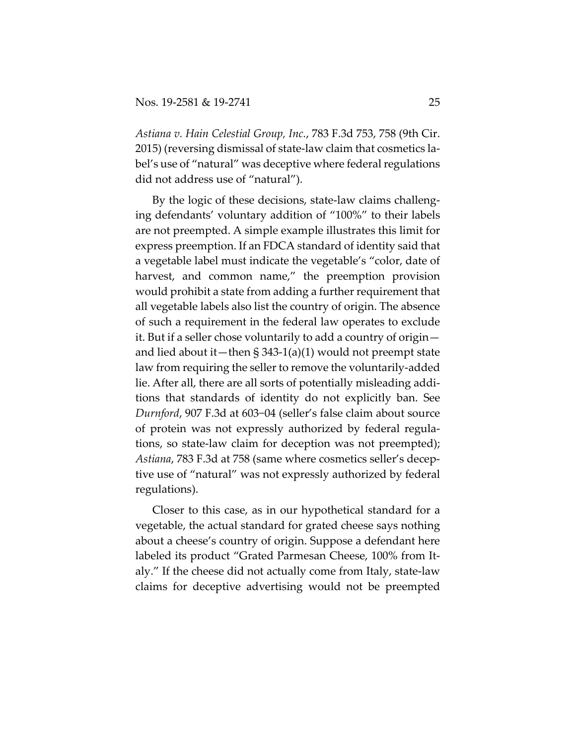*Astiana v. Hain Celestial Group, Inc.*, 783 F.3d 753, 758 (9th Cir. 2015) (reversing dismissal of state-law claim that cosmetics label's use of "natural" was deceptive where federal regulations did not address use of "natural").

By the logic of these decisions, state-law claims challenging defendants' voluntary addition of "100%" to their labels are not preempted. A simple example illustrates this limit for express preemption. If an FDCA standard of identity said that a vegetable label must indicate the vegetable's "color, date of harvest, and common name," the preemption provision would prohibit a state from adding a further requirement that all vegetable labels also list the country of origin. The absence of such a requirement in the federal law operates to exclude it. But if a seller chose voluntarily to add a country of origin and lied about it—then § 343-1(a)(1) would not preempt state law from requiring the seller to remove the voluntarily-added lie. After all, there are all sorts of potentially misleading additions that standards of identity do not explicitly ban. See *Durnford*, 907 F.3d at 603−04 (seller's false claim about source of protein was not expressly authorized by federal regulations, so state-law claim for deception was not preempted); *Astiana*, 783 F.3d at 758 (same where cosmetics seller's deceptive use of "natural" was not expressly authorized by federal regulations).

Closer to this case, as in our hypothetical standard for a vegetable, the actual standard for grated cheese says nothing about a cheese's country of origin. Suppose a defendant here labeled its product "Grated Parmesan Cheese, 100% from Italy." If the cheese did not actually come from Italy, state-law claims for deceptive advertising would not be preempted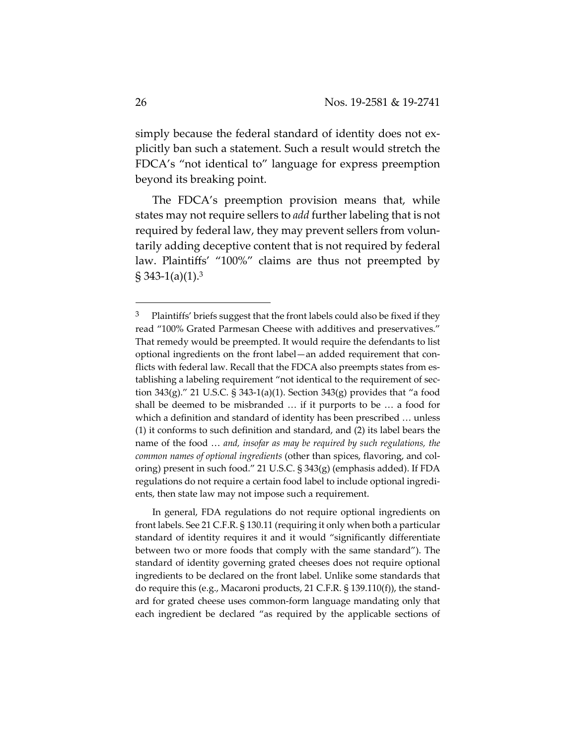simply because the federal standard of identity does not explicitly ban such a statement. Such a result would stretch the FDCA's "not identical to" language for express preemption beyond its breaking point.

The FDCA's preemption provision means that, while states may not require sellers to *add* further labeling that is not required by federal law, they may prevent sellers from voluntarily adding deceptive content that is not required by federal law. Plaintiffs' "100%" claims are thus not preempted by  $\S 343-1(a)(1).3$ 

In general, FDA regulations do not require optional ingredients on front labels. See 21 C.F.R. § 130.11 (requiring it only when both a particular standard of identity requires it and it would "significantly differentiate between two or more foods that comply with the same standard"). The standard of identity governing grated cheeses does not require optional ingredients to be declared on the front label. Unlike some standards that do require this (e.g., Macaroni products, 21 C.F.R. § 139.110(f)), the standard for grated cheese uses common-form language mandating only that each ingredient be declared "as required by the applicable sections of

 $3$  Plaintiffs' briefs suggest that the front labels could also be fixed if they read "100% Grated Parmesan Cheese with additives and preservatives." That remedy would be preempted. It would require the defendants to list optional ingredients on the front label—an added requirement that conflicts with federal law. Recall that the FDCA also preempts states from establishing a labeling requirement "not identical to the requirement of section 343(g)." 21 U.S.C. § 343-1(a)(1). Section 343(g) provides that "a food shall be deemed to be misbranded … if it purports to be … a food for which a definition and standard of identity has been prescribed … unless (1) it conforms to such definition and standard, and (2) its label bears the name of the food … *and, insofar as may be required by such regulations, the common names of optional ingredients* (other than spices, flavoring, and coloring) present in such food." 21 U.S.C. § 343(g) (emphasis added). If FDA regulations do not require a certain food label to include optional ingredients, then state law may not impose such a requirement.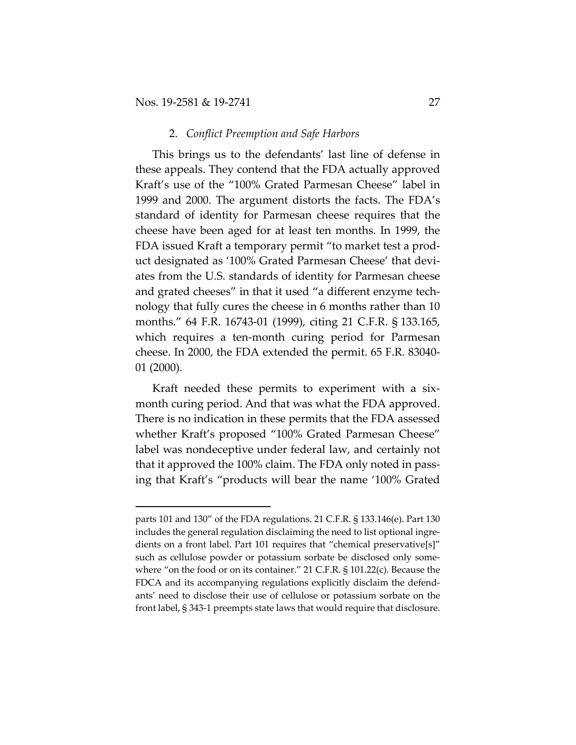## 2. *Conflict Preemption and Safe Harbors*

This brings us to the defendants' last line of defense in these appeals. They contend that the FDA actually approved Kraft's use of the "100% Grated Parmesan Cheese" label in 1999 and 2000. The argument distorts the facts. The FDA's standard of identity for Parmesan cheese requires that the cheese have been aged for at least ten months. In 1999, the FDA issued Kraft a temporary permit "to market test a product designated as '100% Grated Parmesan Cheese' that deviates from the U.S. standards of identity for Parmesan cheese and grated cheeses" in that it used "a different enzyme technology that fully cures the cheese in 6 months rather than 10 months." 64 F.R. 16743-01 (1999), citing 21 C.F.R. § 133.165, which requires a ten-month curing period for Parmesan cheese. In 2000, the FDA extended the permit. 65 F.R. 83040- 01 (2000).

Kraft needed these permits to experiment with a sixmonth curing period. And that was what the FDA approved. There is no indication in these permits that the FDA assessed whether Kraft's proposed "100% Grated Parmesan Cheese" label was nondeceptive under federal law, and certainly not that it approved the 100% claim. The FDA only noted in passing that Kraft's "products will bear the name '100% Grated

parts 101 and 130" of the FDA regulations. 21 C.F.R. § 133.146(e). Part 130 includes the general regulation disclaiming the need to list optional ingredients on a front label. Part 101 requires that "chemical preservative[s]" such as cellulose powder or potassium sorbate be disclosed only somewhere "on the food or on its container." 21 C.F.R. § 101.22(c). Because the FDCA and its accompanying regulations explicitly disclaim the defendants' need to disclose their use of cellulose or potassium sorbate on the front label, § 343-1 preempts state laws that would require that disclosure.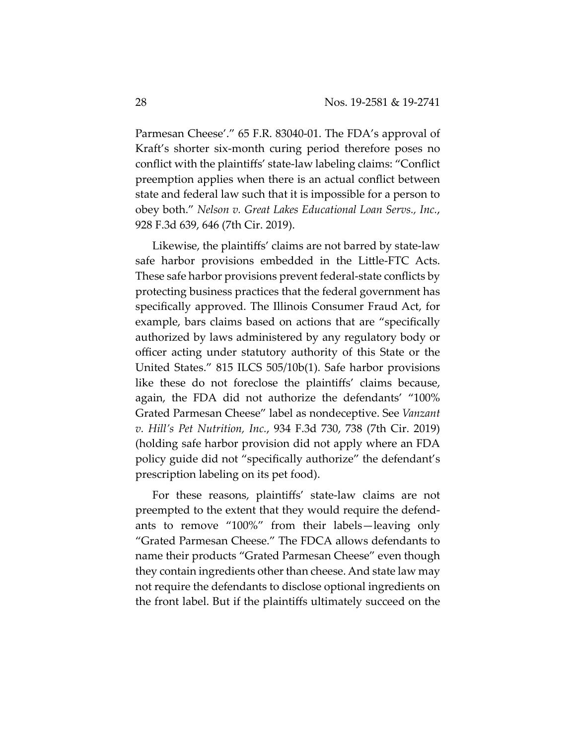Parmesan Cheese'." 65 F.R. 83040-01. The FDA's approval of Kraft's shorter six-month curing period therefore poses no conflict with the plaintiffs' state-law labeling claims: "Conflict preemption applies when there is an actual conflict between state and federal law such that it is impossible for a person to obey both." *Nelson v. Great Lakes Educational Loan Servs., Inc.*, 928 F.3d 639, 646 (7th Cir. 2019).

Likewise, the plaintiffs' claims are not barred by state-law safe harbor provisions embedded in the Little-FTC Acts. These safe harbor provisions prevent federal-state conflicts by protecting business practices that the federal government has specifically approved. The Illinois Consumer Fraud Act, for example, bars claims based on actions that are "specifically authorized by laws administered by any regulatory body or officer acting under statutory authority of this State or the United States." 815 ILCS 505/10b(1). Safe harbor provisions like these do not foreclose the plaintiffs' claims because, again, the FDA did not authorize the defendants' "100% Grated Parmesan Cheese" label as nondeceptive. See *Vanzant v. Hill's Pet Nutrition, Inc.*, 934 F.3d 730, 738 (7th Cir. 2019) (holding safe harbor provision did not apply where an FDA policy guide did not "specifically authorize" the defendant's prescription labeling on its pet food).

For these reasons, plaintiffs' state-law claims are not preempted to the extent that they would require the defendants to remove "100%" from their labels—leaving only "Grated Parmesan Cheese." The FDCA allows defendants to name their products "Grated Parmesan Cheese" even though they contain ingredients other than cheese. And state law may not require the defendants to disclose optional ingredients on the front label. But if the plaintiffs ultimately succeed on the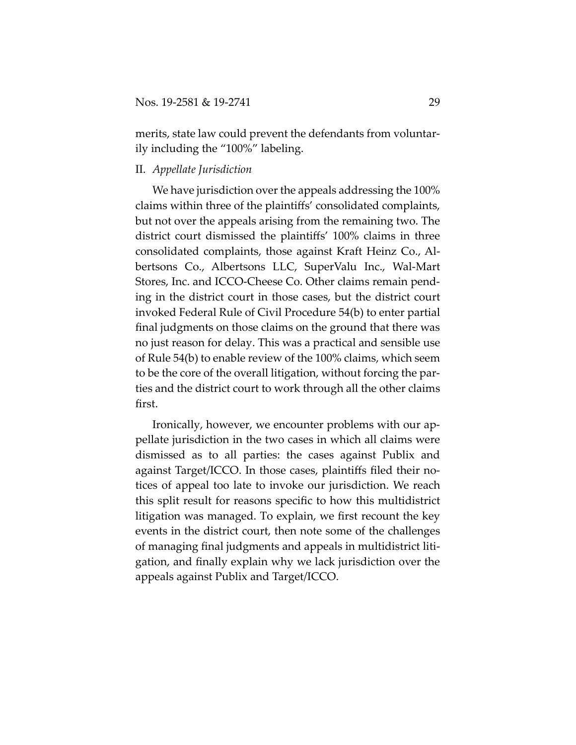merits, state law could prevent the defendants from voluntarily including the "100%" labeling.

## II. *Appellate Jurisdiction*

We have jurisdiction over the appeals addressing the 100% claims within three of the plaintiffs' consolidated complaints, but not over the appeals arising from the remaining two. The district court dismissed the plaintiffs' 100% claims in three consolidated complaints, those against Kraft Heinz Co., Albertsons Co., Albertsons LLC, SuperValu Inc., Wal-Mart Stores, Inc. and ICCO-Cheese Co. Other claims remain pending in the district court in those cases, but the district court invoked Federal Rule of Civil Procedure 54(b) to enter partial final judgments on those claims on the ground that there was no just reason for delay. This was a practical and sensible use of Rule 54(b) to enable review of the 100% claims, which seem to be the core of the overall litigation, without forcing the parties and the district court to work through all the other claims first.

Ironically, however, we encounter problems with our appellate jurisdiction in the two cases in which all claims were dismissed as to all parties: the cases against Publix and against Target/ICCO. In those cases, plaintiffs filed their notices of appeal too late to invoke our jurisdiction. We reach this split result for reasons specific to how this multidistrict litigation was managed. To explain, we first recount the key events in the district court, then note some of the challenges of managing final judgments and appeals in multidistrict litigation, and finally explain why we lack jurisdiction over the appeals against Publix and Target/ICCO.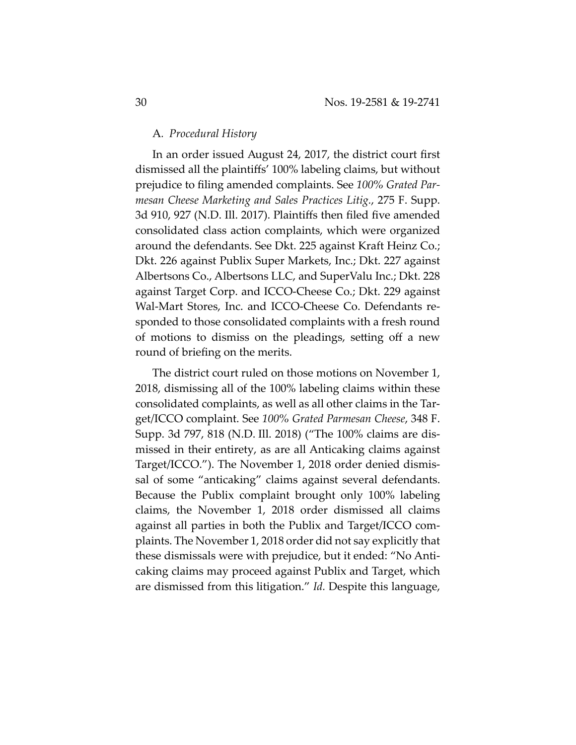## A*. Procedural History*

In an order issued August 24, 2017, the district court first dismissed all the plaintiffs' 100% labeling claims, but without prejudice to filing amended complaints. See *100% Grated Parmesan Cheese Marketing and Sales Practices Litig.*, 275 F. Supp. 3d 910, 927 (N.D. Ill. 2017). Plaintiffs then filed five amended consolidated class action complaints, which were organized around the defendants. See Dkt. 225 against Kraft Heinz Co.; Dkt. 226 against Publix Super Markets, Inc.; Dkt. 227 against Albertsons Co., Albertsons LLC, and SuperValu Inc.; Dkt. 228 against Target Corp. and ICCO-Cheese Co.; Dkt. 229 against Wal-Mart Stores, Inc. and ICCO-Cheese Co. Defendants responded to those consolidated complaints with a fresh round of motions to dismiss on the pleadings, setting off a new round of briefing on the merits.

The district court ruled on those motions on November 1, 2018, dismissing all of the 100% labeling claims within these consolidated complaints, as well as all other claims in the Target/ICCO complaint. See *100% Grated Parmesan Cheese*, 348 F. Supp. 3d 797, 818 (N.D. Ill. 2018) ("The 100% claims are dismissed in their entirety, as are all Anticaking claims against Target/ICCO."). The November 1, 2018 order denied dismissal of some "anticaking" claims against several defendants. Because the Publix complaint brought only 100% labeling claims, the November 1, 2018 order dismissed all claims against all parties in both the Publix and Target/ICCO complaints. The November 1, 2018 order did not say explicitly that these dismissals were with prejudice, but it ended: "No Anticaking claims may proceed against Publix and Target, which are dismissed from this litigation." *Id.* Despite this language,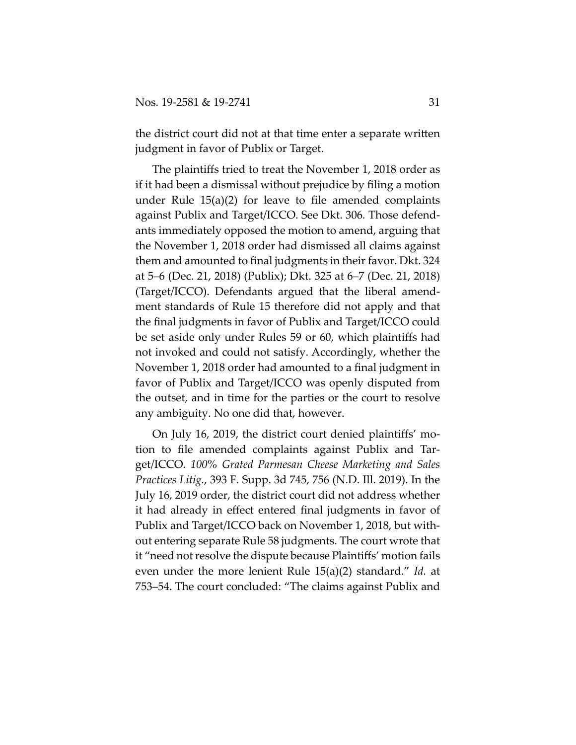the district court did not at that time enter a separate written judgment in favor of Publix or Target.

The plaintiffs tried to treat the November 1, 2018 order as if it had been a dismissal without prejudice by filing a motion under Rule 15(a)(2) for leave to file amended complaints against Publix and Target/ICCO. See Dkt. 306*.* Those defendants immediately opposed the motion to amend, arguing that the November 1, 2018 order had dismissed all claims against them and amounted to final judgments in their favor. Dkt. 324 at 5–6 (Dec. 21, 2018) (Publix); Dkt. 325 at 6–7 (Dec. 21, 2018) (Target/ICCO). Defendants argued that the liberal amendment standards of Rule 15 therefore did not apply and that the final judgments in favor of Publix and Target/ICCO could be set aside only under Rules 59 or 60, which plaintiffs had not invoked and could not satisfy. Accordingly, whether the November 1, 2018 order had amounted to a final judgment in favor of Publix and Target/ICCO was openly disputed from the outset, and in time for the parties or the court to resolve any ambiguity. No one did that, however.

On July 16, 2019, the district court denied plaintiffs' motion to file amended complaints against Publix and Target/ICCO. *100% Grated Parmesan Cheese Marketing and Sales Practices Litig.*, 393 F. Supp. 3d 745, 756 (N.D. Ill. 2019). In the July 16, 2019 order, the district court did not address whether it had already in effect entered final judgments in favor of Publix and Target/ICCO back on November 1, 2018, but without entering separate Rule 58 judgments. The court wrote that it "need not resolve the dispute because Plaintiffs' motion fails even under the more lenient Rule 15(a)(2) standard." *Id.* at 753–54. The court concluded: "The claims against Publix and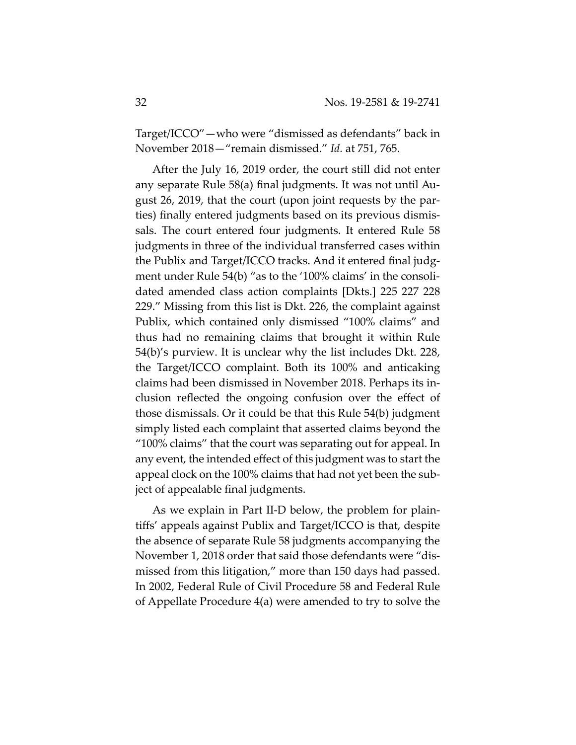Target/ICCO"—who were "dismissed as defendants" back in November 2018—"remain dismissed." *Id.* at 751, 765.

After the July 16, 2019 order, the court still did not enter any separate Rule 58(a) final judgments. It was not until August 26, 2019, that the court (upon joint requests by the parties) finally entered judgments based on its previous dismissals. The court entered four judgments. It entered Rule 58 judgments in three of the individual transferred cases within the Publix and Target/ICCO tracks. And it entered final judgment under Rule 54(b) "as to the '100% claims' in the consolidated amended class action complaints [Dkts.] 225 227 228 229." Missing from this list is Dkt. 226, the complaint against Publix, which contained only dismissed "100% claims" and thus had no remaining claims that brought it within Rule 54(b)'s purview. It is unclear why the list includes Dkt. 228, the Target/ICCO complaint. Both its 100% and anticaking claims had been dismissed in November 2018. Perhaps its inclusion reflected the ongoing confusion over the effect of those dismissals. Or it could be that this Rule 54(b) judgment simply listed each complaint that asserted claims beyond the "100% claims" that the court was separating out for appeal. In any event, the intended effect of this judgment was to start the appeal clock on the 100% claims that had not yet been the subject of appealable final judgments.

As we explain in Part II-D below, the problem for plaintiffs' appeals against Publix and Target/ICCO is that, despite the absence of separate Rule 58 judgments accompanying the November 1, 2018 order that said those defendants were "dismissed from this litigation," more than 150 days had passed. In 2002, Federal Rule of Civil Procedure 58 and Federal Rule of Appellate Procedure 4(a) were amended to try to solve the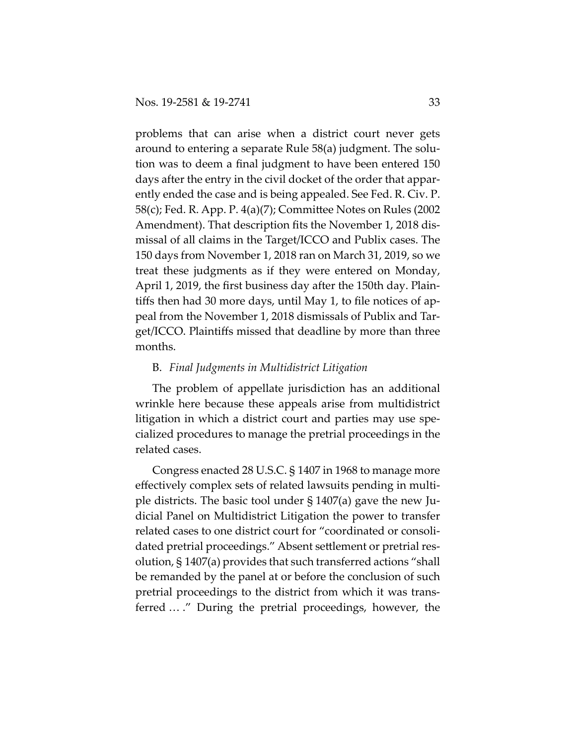problems that can arise when a district court never gets around to entering a separate Rule 58(a) judgment. The solution was to deem a final judgment to have been entered 150 days after the entry in the civil docket of the order that apparently ended the case and is being appealed. See Fed. R. Civ. P. 58(c); Fed. R. App. P. 4(a)(7); Committee Notes on Rules (2002 Amendment). That description fits the November 1, 2018 dismissal of all claims in the Target/ICCO and Publix cases. The 150 days from November 1, 2018 ran on March 31, 2019, so we treat these judgments as if they were entered on Monday, April 1, 2019, the first business day after the 150th day. Plaintiffs then had 30 more days, until May 1, to file notices of appeal from the November 1, 2018 dismissals of Publix and Target/ICCO. Plaintiffs missed that deadline by more than three months.

## B. *Final Judgments in Multidistrict Litigation*

The problem of appellate jurisdiction has an additional wrinkle here because these appeals arise from multidistrict litigation in which a district court and parties may use specialized procedures to manage the pretrial proceedings in the related cases.

Congress enacted 28 U.S.C. § 1407 in 1968 to manage more effectively complex sets of related lawsuits pending in multiple districts. The basic tool under § 1407(a) gave the new Judicial Panel on Multidistrict Litigation the power to transfer related cases to one district court for "coordinated or consolidated pretrial proceedings." Absent settlement or pretrial resolution, § 1407(a) provides that such transferred actions "shall be remanded by the panel at or before the conclusion of such pretrial proceedings to the district from which it was transferred … ." During the pretrial proceedings, however, the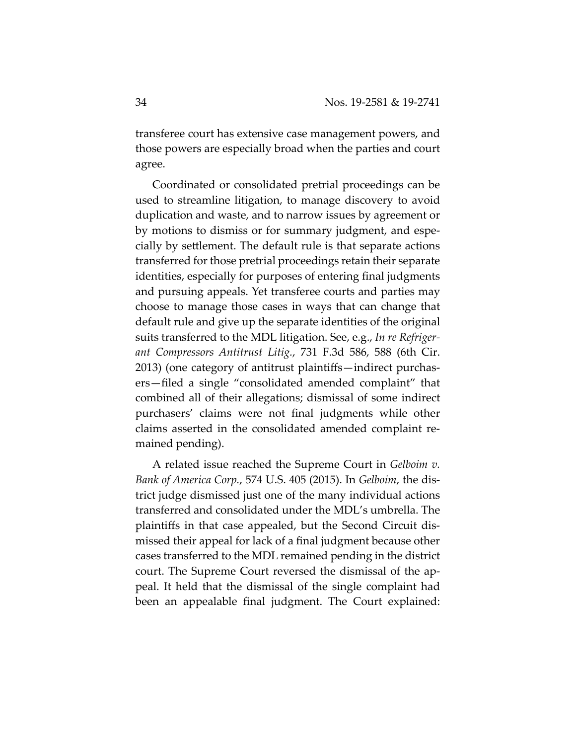transferee court has extensive case management powers, and those powers are especially broad when the parties and court agree.

Coordinated or consolidated pretrial proceedings can be used to streamline litigation, to manage discovery to avoid duplication and waste, and to narrow issues by agreement or by motions to dismiss or for summary judgment, and especially by settlement. The default rule is that separate actions transferred for those pretrial proceedings retain their separate identities, especially for purposes of entering final judgments and pursuing appeals. Yet transferee courts and parties may choose to manage those cases in ways that can change that default rule and give up the separate identities of the original suits transferred to the MDL litigation. See, e.g., *In re Refrigerant Compressors Antitrust Litig.*, 731 F.3d 586, 588 (6th Cir. 2013) (one category of antitrust plaintiffs—indirect purchasers—filed a single "consolidated amended complaint" that combined all of their allegations; dismissal of some indirect purchasers' claims were not final judgments while other claims asserted in the consolidated amended complaint remained pending).

A related issue reached the Supreme Court in *Gelboim v. Bank of America Corp.*, 574 U.S. 405 (2015). In *Gelboim*, the district judge dismissed just one of the many individual actions transferred and consolidated under the MDL's umbrella. The plaintiffs in that case appealed, but the Second Circuit dismissed their appeal for lack of a final judgment because other cases transferred to the MDL remained pending in the district court. The Supreme Court reversed the dismissal of the appeal. It held that the dismissal of the single complaint had been an appealable final judgment. The Court explained: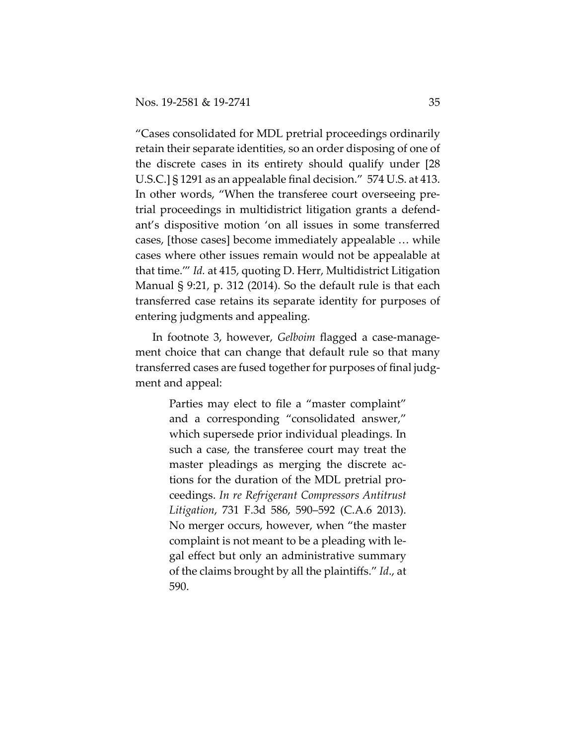"Cases consolidated for MDL pretrial proceedings ordinarily retain their separate identities, so an order disposing of one of the discrete cases in its entirety should qualify under [28 U.S.C.] § 1291 as an appealable final decision." 574 U.S. at 413. In other words, "When the transferee court overseeing pretrial proceedings in multidistrict litigation grants a defendant's dispositive motion 'on all issues in some transferred cases, [those cases] become immediately appealable … while cases where other issues remain would not be appealable at that time.'" *Id.* at 415, quoting D. Herr, Multidistrict Litigation Manual § 9:21, p. 312 (2014). So the default rule is that each transferred case retains its separate identity for purposes of entering judgments and appealing.

In footnote 3, however, *Gelboim* flagged a case-management choice that can change that default rule so that many transferred cases are fused together for purposes of final judgment and appeal:

> Parties may elect to file a "master complaint" and a corresponding "consolidated answer," which supersede prior individual pleadings. In such a case, the transferee court may treat the master pleadings as merging the discrete actions for the duration of the MDL pretrial proceedings. *In re Refrigerant Compressors Antitrust Litigation*, 731 F.3d 586, 590–592 (C.A.6 2013). No merger occurs, however, when "the master complaint is not meant to be a pleading with legal effect but only an administrative summary of the claims brought by all the plaintiffs." *Id*., at 590.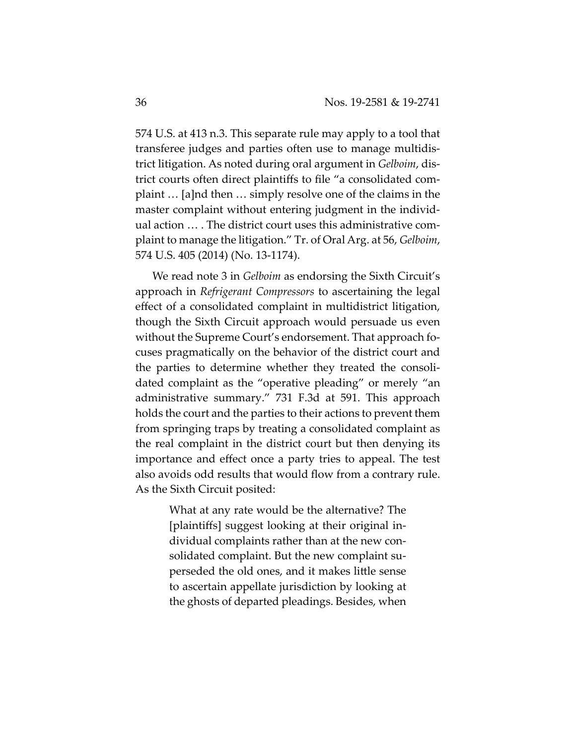574 U.S. at 413 n.3. This separate rule may apply to a tool that transferee judges and parties often use to manage multidistrict litigation. As noted during oral argument in *Gelboim*, district courts often direct plaintiffs to file "a consolidated complaint … [a]nd then … simply resolve one of the claims in the master complaint without entering judgment in the individual action … . The district court uses this administrative complaint to manage the litigation." Tr. of Oral Arg. at 56, *Gelboim*, 574 U.S. 405 (2014) (No. 13-1174).

We read note 3 in *Gelboim* as endorsing the Sixth Circuit's approach in *Refrigerant Compressors* to ascertaining the legal effect of a consolidated complaint in multidistrict litigation, though the Sixth Circuit approach would persuade us even without the Supreme Court's endorsement. That approach focuses pragmatically on the behavior of the district court and the parties to determine whether they treated the consolidated complaint as the "operative pleading" or merely "an administrative summary." 731 F.3d at 591. This approach holds the court and the parties to their actions to prevent them from springing traps by treating a consolidated complaint as the real complaint in the district court but then denying its importance and effect once a party tries to appeal. The test also avoids odd results that would flow from a contrary rule. As the Sixth Circuit posited:

> What at any rate would be the alternative? The [plaintiffs] suggest looking at their original individual complaints rather than at the new consolidated complaint. But the new complaint superseded the old ones, and it makes little sense to ascertain appellate jurisdiction by looking at the ghosts of departed pleadings. Besides, when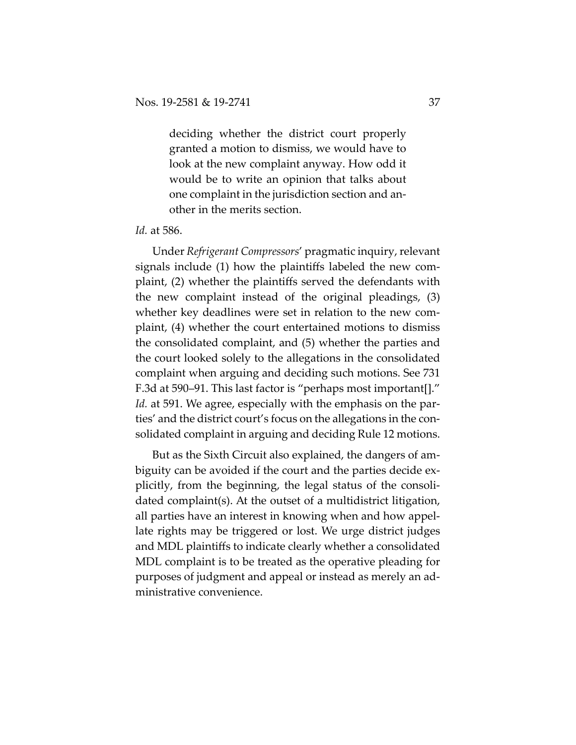deciding whether the district court properly granted a motion to dismiss, we would have to look at the new complaint anyway. How odd it would be to write an opinion that talks about one complaint in the jurisdiction section and another in the merits section.

#### *Id.* at 586.

Under *Refrigerant Compressors*' pragmatic inquiry, relevant signals include (1) how the plaintiffs labeled the new complaint, (2) whether the plaintiffs served the defendants with the new complaint instead of the original pleadings, (3) whether key deadlines were set in relation to the new complaint, (4) whether the court entertained motions to dismiss the consolidated complaint, and (5) whether the parties and the court looked solely to the allegations in the consolidated complaint when arguing and deciding such motions. See 731 F.3d at 590–91. This last factor is "perhaps most important[]." *Id.* at 591. We agree, especially with the emphasis on the parties' and the district court's focus on the allegations in the consolidated complaint in arguing and deciding Rule 12 motions.

But as the Sixth Circuit also explained, the dangers of ambiguity can be avoided if the court and the parties decide explicitly, from the beginning, the legal status of the consolidated complaint(s). At the outset of a multidistrict litigation, all parties have an interest in knowing when and how appellate rights may be triggered or lost. We urge district judges and MDL plaintiffs to indicate clearly whether a consolidated MDL complaint is to be treated as the operative pleading for purposes of judgment and appeal or instead as merely an administrative convenience.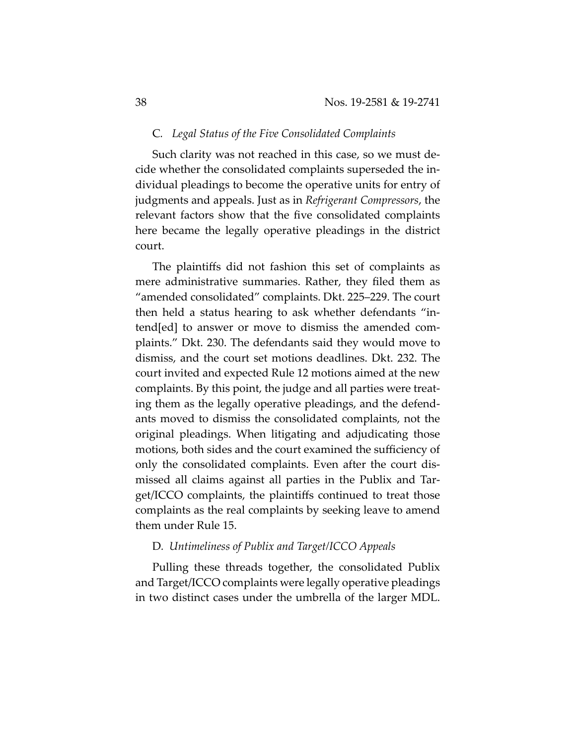## C*. Legal Status of the Five Consolidated Complaints*

Such clarity was not reached in this case, so we must decide whether the consolidated complaints superseded the individual pleadings to become the operative units for entry of judgments and appeals. Just as in *Refrigerant Compressors*, the relevant factors show that the five consolidated complaints here became the legally operative pleadings in the district court.

The plaintiffs did not fashion this set of complaints as mere administrative summaries. Rather, they filed them as "amended consolidated" complaints. Dkt. 225–229. The court then held a status hearing to ask whether defendants "intend[ed] to answer or move to dismiss the amended complaints." Dkt. 230. The defendants said they would move to dismiss, and the court set motions deadlines. Dkt. 232. The court invited and expected Rule 12 motions aimed at the new complaints. By this point, the judge and all parties were treating them as the legally operative pleadings, and the defendants moved to dismiss the consolidated complaints, not the original pleadings. When litigating and adjudicating those motions, both sides and the court examined the sufficiency of only the consolidated complaints. Even after the court dismissed all claims against all parties in the Publix and Target/ICCO complaints, the plaintiffs continued to treat those complaints as the real complaints by seeking leave to amend them under Rule 15.

## D*. Untimeliness of Publix and Target/ICCO Appeals*

Pulling these threads together, the consolidated Publix and Target/ICCO complaints were legally operative pleadings in two distinct cases under the umbrella of the larger MDL.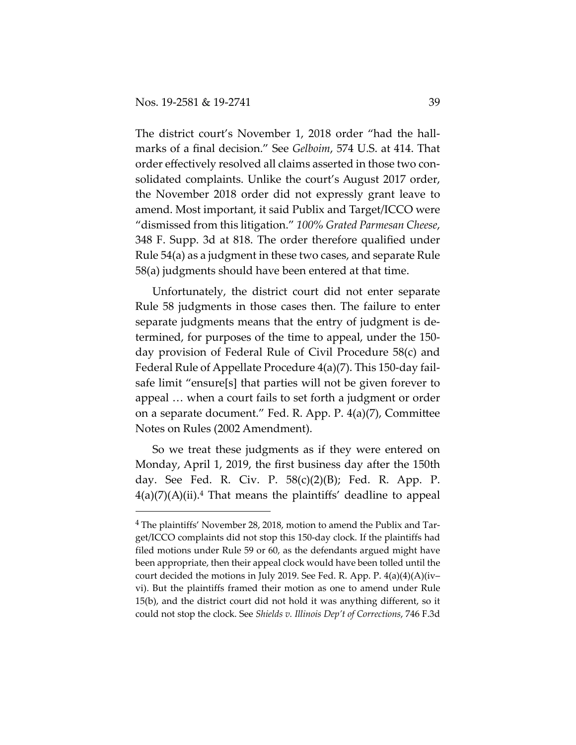The district court's November 1, 2018 order "had the hallmarks of a final decision." See *Gelboim*, 574 U.S. at 414. That order effectively resolved all claims asserted in those two consolidated complaints. Unlike the court's August 2017 order, the November 2018 order did not expressly grant leave to amend. Most important, it said Publix and Target/ICCO were "dismissed from this litigation." *100% Grated Parmesan Cheese*, 348 F. Supp. 3d at 818. The order therefore qualified under Rule 54(a) as a judgment in these two cases, and separate Rule 58(a) judgments should have been entered at that time.

Unfortunately, the district court did not enter separate Rule 58 judgments in those cases then. The failure to enter separate judgments means that the entry of judgment is determined, for purposes of the time to appeal, under the 150 day provision of Federal Rule of Civil Procedure 58(c) and Federal Rule of Appellate Procedure 4(a)(7). This 150-day failsafe limit "ensure[s] that parties will not be given forever to appeal … when a court fails to set forth a judgment or order on a separate document." Fed. R. App. P. 4(a)(7), Committee Notes on Rules (2002 Amendment).

So we treat these judgments as if they were entered on Monday, April 1, 2019, the first business day after the 150th day. See Fed. R. Civ. P. 58(c)(2)(B); Fed. R. App. P.  $4(a)(7)(A)(ii).$ <sup>4</sup> That means the plaintiffs' deadline to appeal

<sup>&</sup>lt;sup>4</sup> The plaintiffs' November 28, 2018, motion to amend the Publix and Target/ICCO complaints did not stop this 150-day clock. If the plaintiffs had filed motions under Rule 59 or 60, as the defendants argued might have been appropriate, then their appeal clock would have been tolled until the court decided the motions in July 2019. See Fed. R. App. P. 4(a)(4)(A)(iv– vi). But the plaintiffs framed their motion as one to amend under Rule 15(b), and the district court did not hold it was anything different, so it could not stop the clock. See *Shields v. Illinois Dep't of Corrections*, 746 F.3d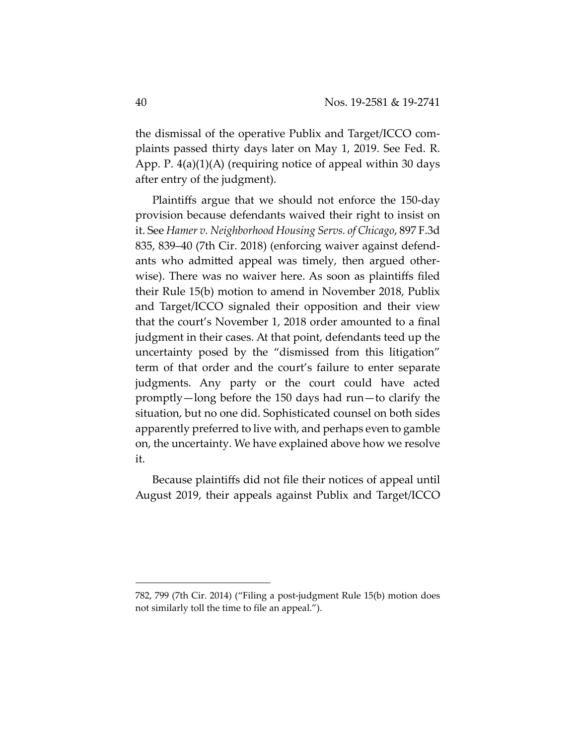the dismissal of the operative Publix and Target/ICCO complaints passed thirty days later on May 1, 2019. See Fed. R. App. P. 4(a)(1)(A) (requiring notice of appeal within 30 days after entry of the judgment).

Plaintiffs argue that we should not enforce the 150-day provision because defendants waived their right to insist on it. See *Hamer v. Neighborhood Housing Servs. of Chicago*, 897 F.3d 835, 839–40 (7th Cir. 2018) (enforcing waiver against defendants who admitted appeal was timely, then argued otherwise). There was no waiver here. As soon as plaintiffs filed their Rule 15(b) motion to amend in November 2018, Publix and Target/ICCO signaled their opposition and their view that the court's November 1, 2018 order amounted to a final judgment in their cases. At that point, defendants teed up the uncertainty posed by the "dismissed from this litigation" term of that order and the court's failure to enter separate judgments. Any party or the court could have acted promptly—long before the 150 days had run—to clarify the situation, but no one did. Sophisticated counsel on both sides apparently preferred to live with, and perhaps even to gamble on, the uncertainty. We have explained above how we resolve it.

Because plaintiffs did not file their notices of appeal until August 2019, their appeals against Publix and Target/ICCO

<sup>782, 799 (7</sup>th Cir. 2014) ("Filing a post-judgment Rule 15(b) motion does not similarly toll the time to file an appeal.").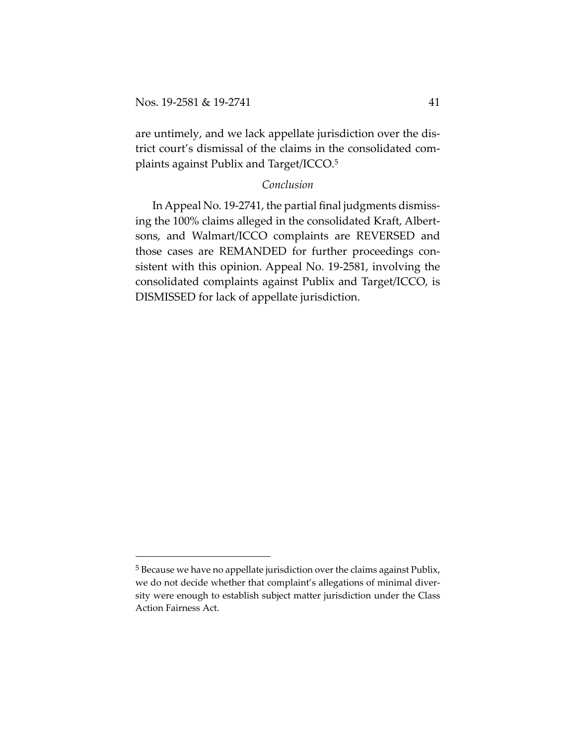are untimely, and we lack appellate jurisdiction over the district court's dismissal of the claims in the consolidated complaints against Publix and Target/ICCO.5

## *Conclusion*

In Appeal No. 19-2741, the partial final judgments dismissing the 100% claims alleged in the consolidated Kraft, Albertsons, and Walmart/ICCO complaints are REVERSED and those cases are REMANDED for further proceedings consistent with this opinion. Appeal No. 19-2581, involving the consolidated complaints against Publix and Target/ICCO, is DISMISSED for lack of appellate jurisdiction.

<sup>5</sup> Because we have no appellate jurisdiction over the claims against Publix, we do not decide whether that complaint's allegations of minimal diversity were enough to establish subject matter jurisdiction under the Class Action Fairness Act.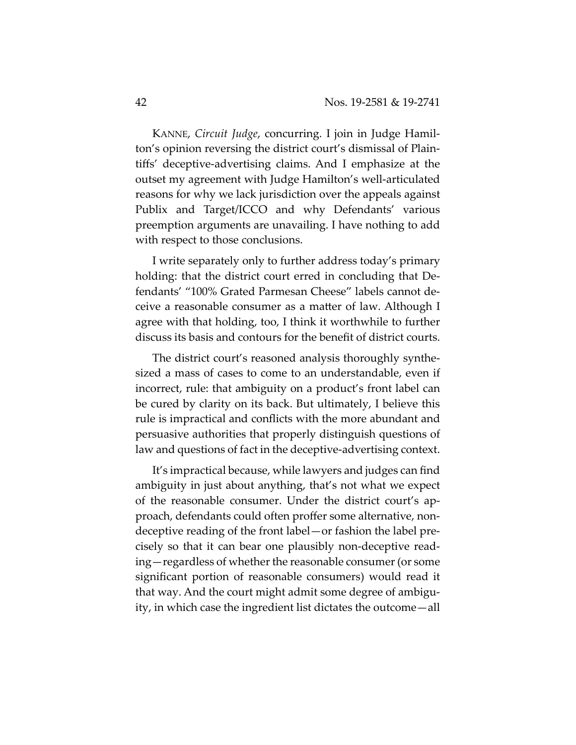KANNE, *Circuit Judge*, concurring. I join in Judge Hamilton's opinion reversing the district court's dismissal of Plaintiffs' deceptive-advertising claims. And I emphasize at the outset my agreement with Judge Hamilton's well-articulated reasons for why we lack jurisdiction over the appeals against Publix and Target/ICCO and why Defendants' various preemption arguments are unavailing. I have nothing to add with respect to those conclusions.

I write separately only to further address today's primary holding: that the district court erred in concluding that Defendants' "100% Grated Parmesan Cheese" labels cannot deceive a reasonable consumer as a matter of law. Although I agree with that holding, too, I think it worthwhile to further discuss its basis and contours for the benefit of district courts.

The district court's reasoned analysis thoroughly synthesized a mass of cases to come to an understandable, even if incorrect, rule: that ambiguity on a product's front label can be cured by clarity on its back. But ultimately, I believe this rule is impractical and conflicts with the more abundant and persuasive authorities that properly distinguish questions of law and questions of fact in the deceptive-advertising context.

It's impractical because, while lawyers and judges can find ambiguity in just about anything, that's not what we expect of the reasonable consumer. Under the district court's approach, defendants could often proffer some alternative, nondeceptive reading of the front label—or fashion the label precisely so that it can bear one plausibly non-deceptive reading—regardless of whether the reasonable consumer (or some significant portion of reasonable consumers) would read it that way. And the court might admit some degree of ambiguity, in which case the ingredient list dictates the outcome—all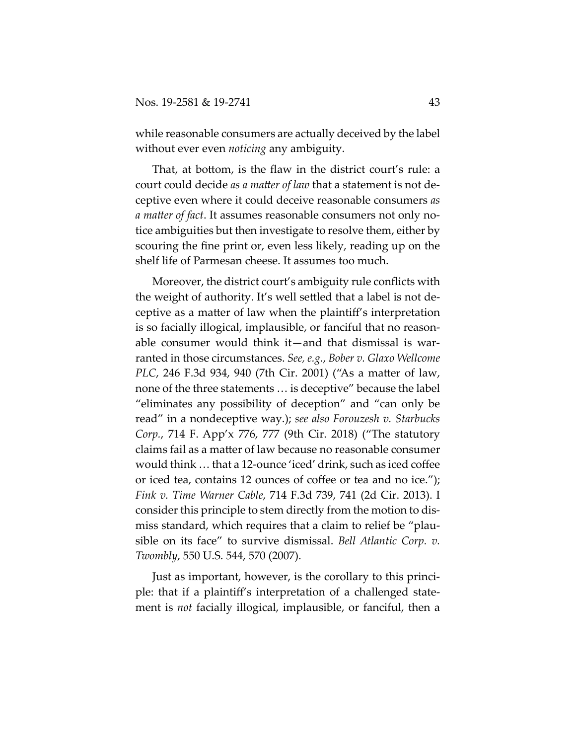while reasonable consumers are actually deceived by the label without ever even *noticing* any ambiguity.

That, at bottom, is the flaw in the district court's rule: a court could decide *as a matter of law* that a statement is not deceptive even where it could deceive reasonable consumers *as a matter of fact*. It assumes reasonable consumers not only notice ambiguities but then investigate to resolve them, either by scouring the fine print or, even less likely, reading up on the shelf life of Parmesan cheese. It assumes too much.

Moreover, the district court's ambiguity rule conflicts with the weight of authority. It's well settled that a label is not deceptive as a matter of law when the plaintiff's interpretation is so facially illogical, implausible, or fanciful that no reasonable consumer would think it—and that dismissal is warranted in those circumstances. *See, e.g.*, *Bober v. Glaxo Wellcome PLC*, 246 F.3d 934, 940 (7th Cir. 2001) ("As a matter of law, none of the three statements … is deceptive" because the label "eliminates any possibility of deception" and "can only be read" in a nondeceptive way.); *see also Forouzesh v. Starbucks Corp.*, 714 F. App'x 776, 777 (9th Cir. 2018) ("The statutory claims fail as a matter of law because no reasonable consumer would think … that a 12-ounce 'iced' drink, such as iced coffee or iced tea, contains 12 ounces of coffee or tea and no ice."); *Fink v. Time Warner Cable*, 714 F.3d 739, 741 (2d Cir. 2013). I consider this principle to stem directly from the motion to dismiss standard, which requires that a claim to relief be "plausible on its face" to survive dismissal. *Bell Atlantic Corp. v. Twombly*, 550 U.S. 544, 570 (2007).

Just as important, however, is the corollary to this principle: that if a plaintiff's interpretation of a challenged statement is *not* facially illogical, implausible, or fanciful, then a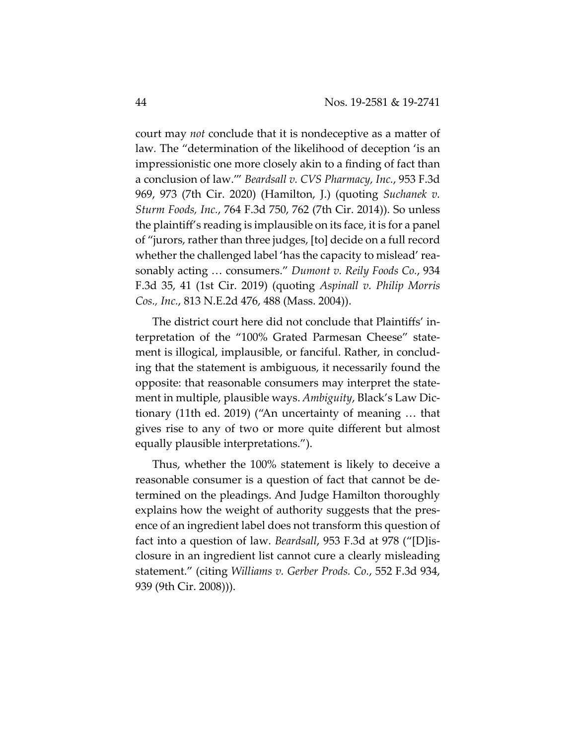court may *not* conclude that it is nondeceptive as a matter of law*.* The "determination of the likelihood of deception 'is an impressionistic one more closely akin to a finding of fact than a conclusion of law.'" *Beardsall v. CVS Pharmacy, Inc.*, 953 F.3d 969, 973 (7th Cir. 2020) (Hamilton, J.) (quoting *Suchanek v. Sturm Foods, Inc.*, 764 F.3d 750, 762 (7th Cir. 2014)). So unless the plaintiff's reading is implausible on its face, it is for a panel of "jurors, rather than three judges, [to] decide on a full record whether the challenged label 'has the capacity to mislead' reasonably acting … consumers." *Dumont v. Reily Foods Co.*, 934 F.3d 35, 41 (1st Cir. 2019) (quoting *Aspinall v. Philip Morris Cos., Inc.*, 813 N.E.2d 476, 488 (Mass. 2004)).

The district court here did not conclude that Plaintiffs' interpretation of the "100% Grated Parmesan Cheese" statement is illogical, implausible, or fanciful. Rather, in concluding that the statement is ambiguous, it necessarily found the opposite: that reasonable consumers may interpret the statement in multiple, plausible ways. *Ambiguity*, Black's Law Dictionary (11th ed. 2019) ("An uncertainty of meaning … that gives rise to any of two or more quite different but almost equally plausible interpretations.").

Thus, whether the 100% statement is likely to deceive a reasonable consumer is a question of fact that cannot be determined on the pleadings. And Judge Hamilton thoroughly explains how the weight of authority suggests that the presence of an ingredient label does not transform this question of fact into a question of law. *Beardsall*, 953 F.3d at 978 ("[D]isclosure in an ingredient list cannot cure a clearly misleading statement." (citing *Williams v. Gerber Prods. Co.*, 552 F.3d 934, 939 (9th Cir. 2008))).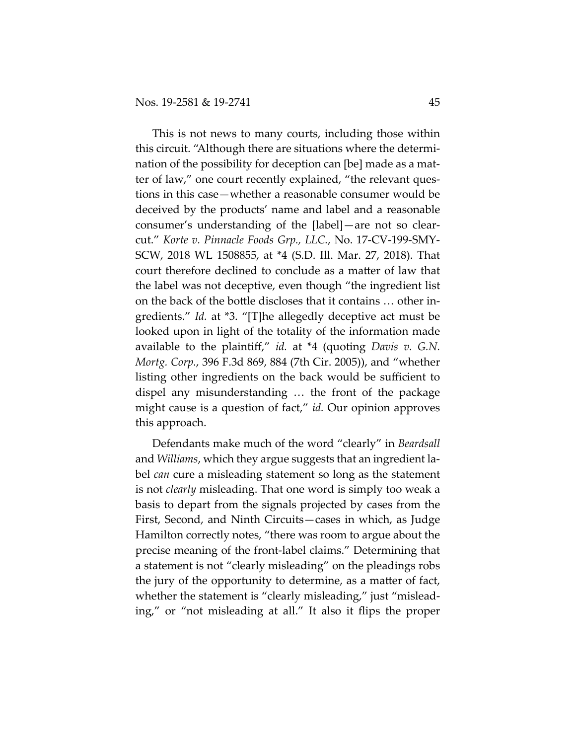This is not news to many courts, including those within this circuit. "Although there are situations where the determination of the possibility for deception can [be] made as a matter of law," one court recently explained, "the relevant questions in this case—whether a reasonable consumer would be deceived by the products' name and label and a reasonable consumer's understanding of the [label]—are not so clearcut." *Korte v. Pinnacle Foods Grp., LLC.*, No. 17-CV-199-SMY-SCW, 2018 WL 1508855, at \*4 (S.D. Ill. Mar. 27, 2018). That court therefore declined to conclude as a matter of law that the label was not deceptive, even though "the ingredient list on the back of the bottle discloses that it contains … other ingredients." *Id.* at \*3. "[T]he allegedly deceptive act must be looked upon in light of the totality of the information made available to the plaintiff," *id.* at \*4 (quoting *Davis v. G.N. Mortg. Corp.*, 396 F.3d 869, 884 (7th Cir. 2005)), and "whether listing other ingredients on the back would be sufficient to dispel any misunderstanding … the front of the package might cause is a question of fact," *id.* Our opinion approves this approach.

Defendants make much of the word "clearly" in *Beardsall* and *Williams*, which they argue suggests that an ingredient label *can* cure a misleading statement so long as the statement is not *clearly* misleading. That one word is simply too weak a basis to depart from the signals projected by cases from the First, Second, and Ninth Circuits—cases in which, as Judge Hamilton correctly notes, "there was room to argue about the precise meaning of the front-label claims." Determining that a statement is not "clearly misleading" on the pleadings robs the jury of the opportunity to determine, as a matter of fact, whether the statement is "clearly misleading," just "misleading," or "not misleading at all." It also it flips the proper